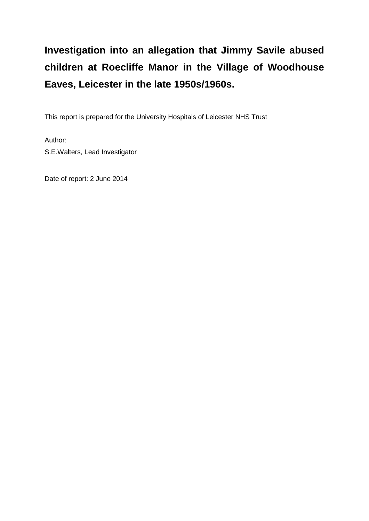# **Investigation into an allegation that Jimmy Savile abused children at Roecliffe Manor in the Village of Woodhouse Eaves, Leicester in the late 1950s/1960s.**

This report is prepared for the University Hospitals of Leicester NHS Trust

Author: S.E.Walters, Lead Investigator

Date of report: 2 June 2014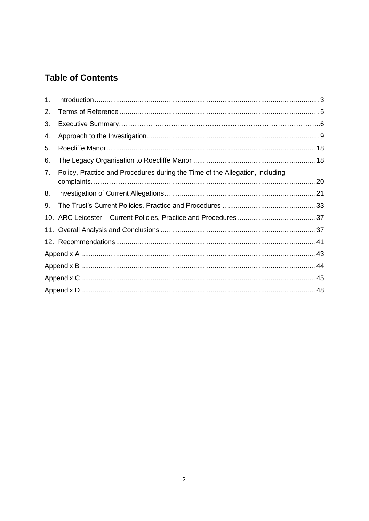# **Table of Contents**

| 1. |                                                                              |  |  |
|----|------------------------------------------------------------------------------|--|--|
| 2. |                                                                              |  |  |
| 3. |                                                                              |  |  |
| 4. |                                                                              |  |  |
| 5. |                                                                              |  |  |
| 6. |                                                                              |  |  |
| 7. | Policy, Practice and Procedures during the Time of the Allegation, including |  |  |
| 8. |                                                                              |  |  |
| 9. |                                                                              |  |  |
|    |                                                                              |  |  |
|    |                                                                              |  |  |
|    |                                                                              |  |  |
|    |                                                                              |  |  |
|    |                                                                              |  |  |
|    |                                                                              |  |  |
|    |                                                                              |  |  |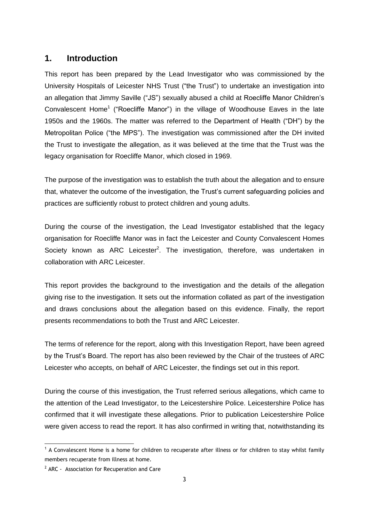# <span id="page-2-0"></span>**1. Introduction**

This report has been prepared by the Lead Investigator who was commissioned by the University Hospitals of Leicester NHS Trust ("the Trust") to undertake an investigation into an allegation that Jimmy Saville ("JS") sexually abused a child at Roecliffe Manor Children's Convalescent Home<sup>1</sup> ("Roecliffe Manor") in the village of Woodhouse Eaves in the late 1950s and the 1960s. The matter was referred to the Department of Health ("DH") by the Metropolitan Police ("the MPS"). The investigation was commissioned after the DH invited the Trust to investigate the allegation, as it was believed at the time that the Trust was the legacy organisation for Roecliffe Manor, which closed in 1969.

The purpose of the investigation was to establish the truth about the allegation and to ensure that, whatever the outcome of the investigation, the Trust's current safeguarding policies and practices are sufficiently robust to protect children and young adults.

During the course of the investigation, the Lead Investigator established that the legacy organisation for Roecliffe Manor was in fact the Leicester and County Convalescent Homes Society known as ARC Leicester<sup>2</sup>. The investigation, therefore, was undertaken in collaboration with ARC Leicester.

This report provides the background to the investigation and the details of the allegation giving rise to the investigation. It sets out the information collated as part of the investigation and draws conclusions about the allegation based on this evidence. Finally, the report presents recommendations to both the Trust and ARC Leicester.

The terms of reference for the report, along with this Investigation Report, have been agreed by the Trust's Board. The report has also been reviewed by the Chair of the trustees of ARC Leicester who accepts, on behalf of ARC Leicester, the findings set out in this report.

During the course of this investigation, the Trust referred serious allegations, which came to the attention of the Lead Investigator, to the Leicestershire Police. Leicestershire Police has confirmed that it will investigate these allegations. Prior to publication Leicestershire Police were given access to read the report. It has also confirmed in writing that, notwithstanding its

-

 $<sup>1</sup>$  A Convalescent Home is a home for children to recuperate after illness or for children to stay whilst family</sup> members recuperate from illness at home.

 $2$  ARC - Association for Recuperation and Care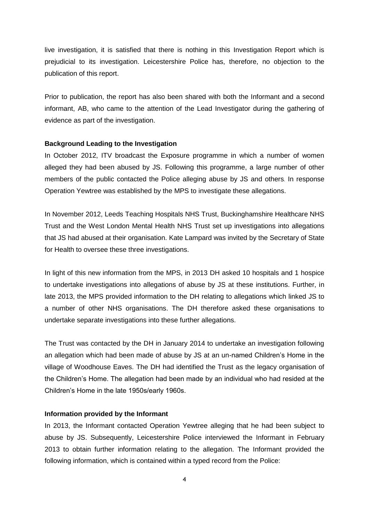live investigation, it is satisfied that there is nothing in this Investigation Report which is prejudicial to its investigation. Leicestershire Police has, therefore, no objection to the publication of this report.

Prior to publication, the report has also been shared with both the Informant and a second informant, AB, who came to the attention of the Lead Investigator during the gathering of evidence as part of the investigation.

#### **Background Leading to the Investigation**

In October 2012, ITV broadcast the Exposure programme in which a number of women alleged they had been abused by JS. Following this programme, a large number of other members of the public contacted the Police alleging abuse by JS and others. In response Operation Yewtree was established by the MPS to investigate these allegations.

In November 2012, Leeds Teaching Hospitals NHS Trust, Buckinghamshire Healthcare NHS Trust and the West London Mental Health NHS Trust set up investigations into allegations that JS had abused at their organisation. Kate Lampard was invited by the Secretary of State for Health to oversee these three investigations.

In light of this new information from the MPS, in 2013 DH asked 10 hospitals and 1 hospice to undertake investigations into allegations of abuse by JS at these institutions. Further, in late 2013, the MPS provided information to the DH relating to allegations which linked JS to a number of other NHS organisations. The DH therefore asked these organisations to undertake separate investigations into these further allegations.

The Trust was contacted by the DH in January 2014 to undertake an investigation following an allegation which had been made of abuse by JS at an un-named Children's Home in the village of Woodhouse Eaves. The DH had identified the Trust as the legacy organisation of the Children's Home. The allegation had been made by an individual who had resided at the Children's Home in the late 1950s/early 1960s.

#### **Information provided by the Informant**

In 2013, the Informant contacted Operation Yewtree alleging that he had been subject to abuse by JS. Subsequently, Leicestershire Police interviewed the Informant in February 2013 to obtain further information relating to the allegation. The Informant provided the following information, which is contained within a typed record from the Police: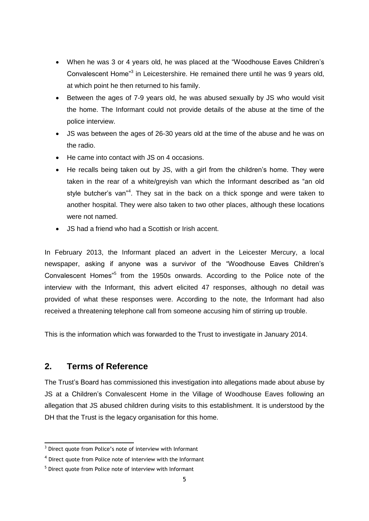- When he was 3 or 4 years old, he was placed at the "Woodhouse Eaves Children's Convalescent Home<sup>"3</sup> in Leicestershire. He remained there until he was 9 years old, at which point he then returned to his family.
- Between the ages of 7-9 years old, he was abused sexually by JS who would visit the home. The Informant could not provide details of the abuse at the time of the police interview.
- JS was between the ages of 26-30 years old at the time of the abuse and he was on the radio.
- He came into contact with JS on 4 occasions.
- He recalls being taken out by JS, with a girl from the children's home. They were taken in the rear of a white/greyish van which the Informant described as "an old style butcher's van"<sup>4</sup>. They sat in the back on a thick sponge and were taken to another hospital. They were also taken to two other places, although these locations were not named.
- JS had a friend who had a Scottish or Irish accent.

In February 2013, the Informant placed an advert in the Leicester Mercury, a local newspaper, asking if anyone was a survivor of the "Woodhouse Eaves Children's Convalescent Homes<sup>"5</sup> from the 1950s onwards. According to the Police note of the interview with the Informant, this advert elicited 47 responses, although no detail was provided of what these responses were. According to the note, the Informant had also received a threatening telephone call from someone accusing him of stirring up trouble.

This is the information which was forwarded to the Trust to investigate in January 2014.

# <span id="page-4-0"></span>**2. Terms of Reference**

-

The Trust's Board has commissioned this investigation into allegations made about abuse by JS at a Children's Convalescent Home in the Village of Woodhouse Eaves following an allegation that JS abused children during visits to this establishment. It is understood by the DH that the Trust is the legacy organisation for this home.

 $3$  Direct quote from Police's note of interview with Informant

<sup>&</sup>lt;sup>4</sup> Direct quote from Police note of interview with the Informant

<sup>&</sup>lt;sup>5</sup> Direct quote from Police note of interview with Informant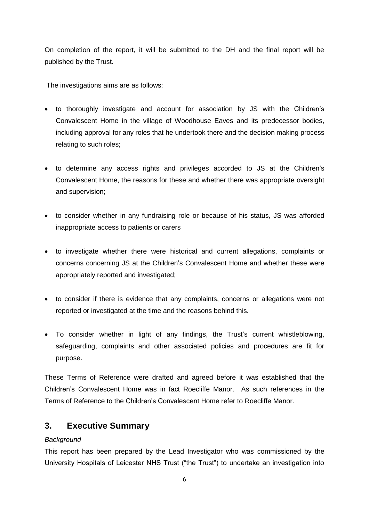On completion of the report, it will be submitted to the DH and the final report will be published by the Trust.

The investigations aims are as follows:

- to thoroughly investigate and account for association by JS with the Children's Convalescent Home in the village of Woodhouse Eaves and its predecessor bodies, including approval for any roles that he undertook there and the decision making process relating to such roles;
- to determine any access rights and privileges accorded to JS at the Children's Convalescent Home, the reasons for these and whether there was appropriate oversight and supervision;
- to consider whether in any fundraising role or because of his status, JS was afforded inappropriate access to patients or carers
- to investigate whether there were historical and current allegations, complaints or concerns concerning JS at the Children's Convalescent Home and whether these were appropriately reported and investigated;
- to consider if there is evidence that any complaints, concerns or allegations were not reported or investigated at the time and the reasons behind this.
- To consider whether in light of any findings, the Trust's current whistleblowing, safeguarding, complaints and other associated policies and procedures are fit for purpose.

These Terms of Reference were drafted and agreed before it was established that the Children's Convalescent Home was in fact Roecliffe Manor. As such references in the Terms of Reference to the Children's Convalescent Home refer to Roecliffe Manor.

# **3. Executive Summary**

## *Background*

This report has been prepared by the Lead Investigator who was commissioned by the University Hospitals of Leicester NHS Trust ("the Trust") to undertake an investigation into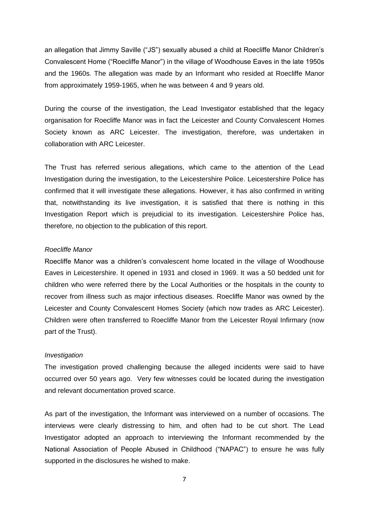an allegation that Jimmy Saville ("JS") sexually abused a child at Roecliffe Manor Children's Convalescent Home ("Roecliffe Manor") in the village of Woodhouse Eaves in the late 1950s and the 1960s. The allegation was made by an Informant who resided at Roecliffe Manor from approximately 1959-1965, when he was between 4 and 9 years old.

During the course of the investigation, the Lead Investigator established that the legacy organisation for Roecliffe Manor was in fact the Leicester and County Convalescent Homes Society known as ARC Leicester. The investigation, therefore, was undertaken in collaboration with ARC Leicester.

The Trust has referred serious allegations, which came to the attention of the Lead Investigation during the investigation, to the Leicestershire Police. Leicestershire Police has confirmed that it will investigate these allegations. However, it has also confirmed in writing that, notwithstanding its live investigation, it is satisfied that there is nothing in this Investigation Report which is prejudicial to its investigation. Leicestershire Police has, therefore, no objection to the publication of this report.

#### *Roecliffe Manor*

Roecliffe Manor was a children's convalescent home located in the village of Woodhouse Eaves in Leicestershire. It opened in 1931 and closed in 1969. It was a 50 bedded unit for children who were referred there by the Local Authorities or the hospitals in the county to recover from illness such as major infectious diseases. Roecliffe Manor was owned by the Leicester and County Convalescent Homes Society (which now trades as ARC Leicester). Children were often transferred to Roecliffe Manor from the Leicester Royal Infirmary (now part of the Trust).

#### *Investigation*

The investigation proved challenging because the alleged incidents were said to have occurred over 50 years ago. Very few witnesses could be located during the investigation and relevant documentation proved scarce.

As part of the investigation, the Informant was interviewed on a number of occasions. The interviews were clearly distressing to him, and often had to be cut short. The Lead Investigator adopted an approach to interviewing the Informant recommended by the National Association of People Abused in Childhood ("NAPAC") to ensure he was fully supported in the disclosures he wished to make.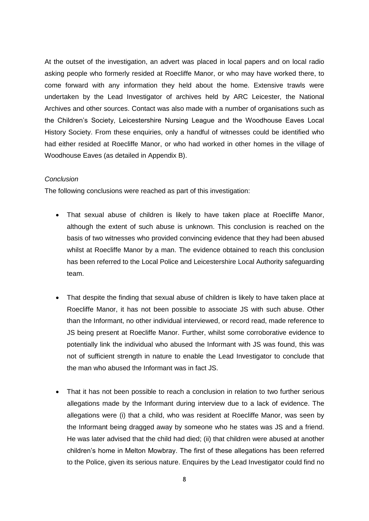At the outset of the investigation, an advert was placed in local papers and on local radio asking people who formerly resided at Roecliffe Manor, or who may have worked there, to come forward with any information they held about the home. Extensive trawls were undertaken by the Lead Investigator of archives held by ARC Leicester, the National Archives and other sources. Contact was also made with a number of organisations such as the Children's Society, Leicestershire Nursing League and the Woodhouse Eaves Local History Society. From these enquiries, only a handful of witnesses could be identified who had either resided at Roecliffe Manor, or who had worked in other homes in the village of Woodhouse Eaves (as detailed in Appendix B).

#### *Conclusion*

The following conclusions were reached as part of this investigation:

- That sexual abuse of children is likely to have taken place at Roecliffe Manor, although the extent of such abuse is unknown. This conclusion is reached on the basis of two witnesses who provided convincing evidence that they had been abused whilst at Roecliffe Manor by a man. The evidence obtained to reach this conclusion has been referred to the Local Police and Leicestershire Local Authority safeguarding team.
- That despite the finding that sexual abuse of children is likely to have taken place at Roecliffe Manor, it has not been possible to associate JS with such abuse. Other than the Informant, no other individual interviewed, or record read, made reference to JS being present at Roecliffe Manor. Further, whilst some corroborative evidence to potentially link the individual who abused the Informant with JS was found, this was not of sufficient strength in nature to enable the Lead Investigator to conclude that the man who abused the Informant was in fact JS.
- That it has not been possible to reach a conclusion in relation to two further serious allegations made by the Informant during interview due to a lack of evidence. The allegations were (i) that a child, who was resident at Roecliffe Manor, was seen by the Informant being dragged away by someone who he states was JS and a friend. He was later advised that the child had died; (ii) that children were abused at another children's home in Melton Mowbray. The first of these allegations has been referred to the Police, given its serious nature. Enquires by the Lead Investigator could find no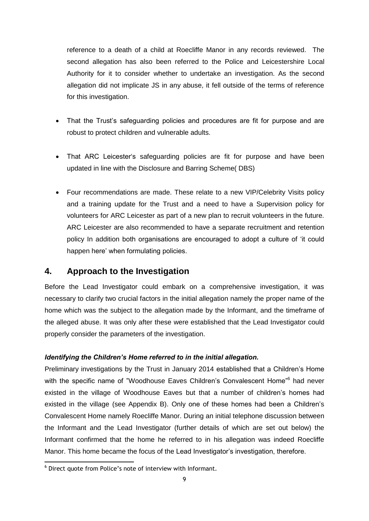reference to a death of a child at Roecliffe Manor in any records reviewed. The second allegation has also been referred to the Police and Leicestershire Local Authority for it to consider whether to undertake an investigation. As the second allegation did not implicate JS in any abuse, it fell outside of the terms of reference for this investigation.

- That the Trust's safeguarding policies and procedures are fit for purpose and are robust to protect children and vulnerable adults.
- That ARC Leicester's safeguarding policies are fit for purpose and have been updated in line with the Disclosure and Barring Scheme( DBS)
- Four recommendations are made. These relate to a new VIP/Celebrity Visits policy and a training update for the Trust and a need to have a Supervision policy for volunteers for ARC Leicester as part of a new plan to recruit volunteers in the future. ARC Leicester are also recommended to have a separate recruitment and retention policy In addition both organisations are encouraged to adopt a culture of 'it could happen here' when formulating policies.

# <span id="page-8-0"></span>**4. Approach to the Investigation**

Before the Lead Investigator could embark on a comprehensive investigation, it was necessary to clarify two crucial factors in the initial allegation namely the proper name of the home which was the subject to the allegation made by the Informant, and the timeframe of the alleged abuse. It was only after these were established that the Lead Investigator could properly consider the parameters of the investigation.

## *Identifying the Children's Home referred to in the initial allegation.*

Preliminary investigations by the Trust in January 2014 established that a Children's Home with the specific name of "Woodhouse Eaves Children's Convalescent Home"<sup>6</sup> had never existed in the village of Woodhouse Eaves but that a number of children's homes had existed in the village (see Appendix B). Only one of these homes had been a Children's Convalescent Home namely Roecliffe Manor. During an initial telephone discussion between the Informant and the Lead Investigator (further details of which are set out below) the Informant confirmed that the home he referred to in his allegation was indeed Roecliffe Manor. This home became the focus of the Lead Investigator's investigation, therefore.

-

<sup>6</sup> Direct quote from Police's note of interview with Informant.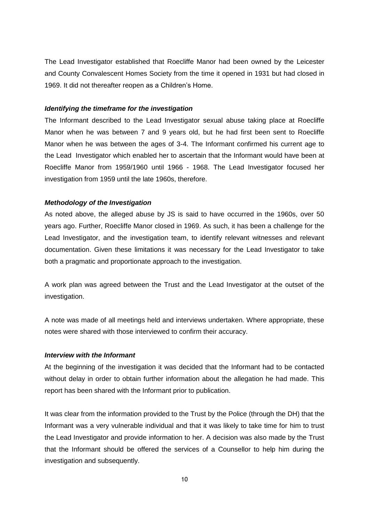The Lead Investigator established that Roecliffe Manor had been owned by the Leicester and County Convalescent Homes Society from the time it opened in 1931 but had closed in 1969. It did not thereafter reopen as a Children's Home.

#### *Identifying the timeframe for the investigation*

The Informant described to the Lead Investigator sexual abuse taking place at Roecliffe Manor when he was between 7 and 9 years old, but he had first been sent to Roecliffe Manor when he was between the ages of 3-4. The Informant confirmed his current age to the Lead Investigator which enabled her to ascertain that the Informant would have been at Roecliffe Manor from 1959/1960 until 1966 - 1968. The Lead Investigator focused her investigation from 1959 until the late 1960s, therefore.

### *Methodology of the Investigation*

As noted above, the alleged abuse by JS is said to have occurred in the 1960s, over 50 years ago. Further, Roecliffe Manor closed in 1969. As such, it has been a challenge for the Lead Investigator, and the investigation team, to identify relevant witnesses and relevant documentation. Given these limitations it was necessary for the Lead Investigator to take both a pragmatic and proportionate approach to the investigation.

A work plan was agreed between the Trust and the Lead Investigator at the outset of the investigation.

A note was made of all meetings held and interviews undertaken. Where appropriate, these notes were shared with those interviewed to confirm their accuracy.

## *Interview with the Informant*

At the beginning of the investigation it was decided that the Informant had to be contacted without delay in order to obtain further information about the allegation he had made. This report has been shared with the Informant prior to publication.

It was clear from the information provided to the Trust by the Police (through the DH) that the Informant was a very vulnerable individual and that it was likely to take time for him to trust the Lead Investigator and provide information to her. A decision was also made by the Trust that the Informant should be offered the services of a Counsellor to help him during the investigation and subsequently.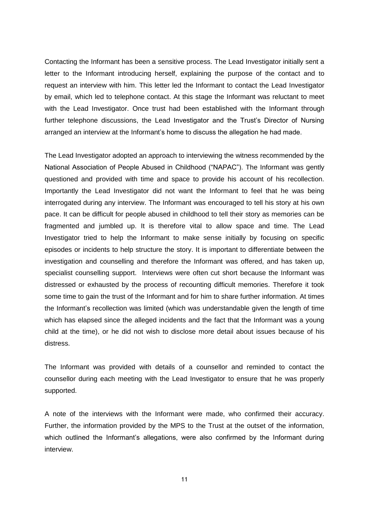Contacting the Informant has been a sensitive process. The Lead Investigator initially sent a letter to the Informant introducing herself, explaining the purpose of the contact and to request an interview with him. This letter led the Informant to contact the Lead Investigator by email, which led to telephone contact. At this stage the Informant was reluctant to meet with the Lead Investigator. Once trust had been established with the Informant through further telephone discussions, the Lead Investigator and the Trust's Director of Nursing arranged an interview at the Informant's home to discuss the allegation he had made.

The Lead Investigator adopted an approach to interviewing the witness recommended by the National Association of People Abused in Childhood ("NAPAC"). The Informant was gently questioned and provided with time and space to provide his account of his recollection. Importantly the Lead Investigator did not want the Informant to feel that he was being interrogated during any interview. The Informant was encouraged to tell his story at his own pace. It can be difficult for people abused in childhood to tell their story as memories can be fragmented and jumbled up. It is therefore vital to allow space and time. The Lead Investigator tried to help the Informant to make sense initially by focusing on specific episodes or incidents to help structure the story. It is important to differentiate between the investigation and counselling and therefore the Informant was offered, and has taken up, specialist counselling support. Interviews were often cut short because the Informant was distressed or exhausted by the process of recounting difficult memories. Therefore it took some time to gain the trust of the Informant and for him to share further information. At times the Informant's recollection was limited (which was understandable given the length of time which has elapsed since the alleged incidents and the fact that the Informant was a young child at the time), or he did not wish to disclose more detail about issues because of his distress.

The Informant was provided with details of a counsellor and reminded to contact the counsellor during each meeting with the Lead Investigator to ensure that he was properly supported.

A note of the interviews with the Informant were made, who confirmed their accuracy. Further, the information provided by the MPS to the Trust at the outset of the information, which outlined the Informant's allegations, were also confirmed by the Informant during interview.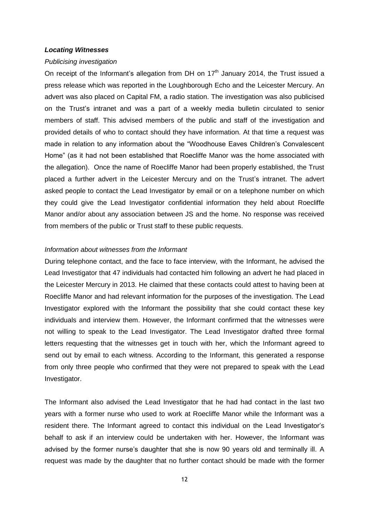#### *Locating Witnesses*

#### *Publicising investigation*

On receipt of the Informant's allegation from DH on  $17<sup>th</sup>$  January 2014, the Trust issued a press release which was reported in the Loughborough Echo and the Leicester Mercury. An advert was also placed on [Capital FM,](http://www.capitalfm.com/eastmids/on-air/news-travel/local-news/savile-leicester-childrens-home-investigated/) a radio station. The investigation was also publicised on the Trust's intranet and was a part of a weekly media bulletin circulated to senior members of staff. This advised members of the public and staff of the investigation and provided details of who to contact should they have information. At that time a request was made in relation to any information about the "Woodhouse Eaves Children's Convalescent Home" (as it had not been established that Roecliffe Manor was the home associated with the allegation). Once the name of Roecliffe Manor had been properly established, the Trust placed a further advert in the Leicester Mercury and on the Trust's intranet. The advert asked people to contact the Lead Investigator by email or on a telephone number on which they could give the Lead Investigator confidential information they held about Roecliffe Manor and/or about any association between JS and the home. No response was received from members of the public or Trust staff to these public requests.

#### *Information about witnesses from the Informant*

During telephone contact, and the face to face interview, with the Informant, he advised the Lead Investigator that 47 individuals had contacted him following an advert he had placed in the Leicester Mercury in 2013. He claimed that these contacts could attest to having been at Roecliffe Manor and had relevant information for the purposes of the investigation. The Lead Investigator explored with the Informant the possibility that she could contact these key individuals and interview them. However, the Informant confirmed that the witnesses were not willing to speak to the Lead Investigator. The Lead Investigator drafted three formal letters requesting that the witnesses get in touch with her, which the Informant agreed to send out by email to each witness. According to the Informant, this generated a response from only three people who confirmed that they were not prepared to speak with the Lead Investigator.

The Informant also advised the Lead Investigator that he had had contact in the last two years with a former nurse who used to work at Roecliffe Manor while the Informant was a resident there. The Informant agreed to contact this individual on the Lead Investigator's behalf to ask if an interview could be undertaken with her. However, the Informant was advised by the former nurse's daughter that she is now 90 years old and terminally ill. A request was made by the daughter that no further contact should be made with the former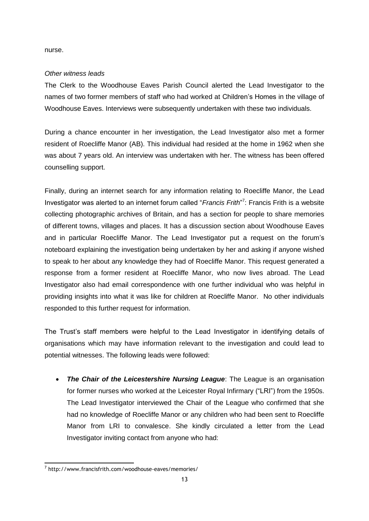nurse.

## *Other witness leads*

The Clerk to the Woodhouse Eaves Parish Council alerted the Lead Investigator to the names of two former members of staff who had worked at Children's Homes in the village of Woodhouse Eaves. Interviews were subsequently undertaken with these two individuals.

During a chance encounter in her investigation, the Lead Investigator also met a former resident of Roecliffe Manor (AB). This individual had resided at the home in 1962 when she was about 7 years old. An interview was undertaken with her. The witness has been offered counselling support.

Finally, during an internet search for any information relating to Roecliffe Manor, the Lead Investigator was alerted to an internet forum called "Francis Frith"<sup>7</sup>: Francis Frith is a website collecting photographic archives of Britain, and has a section for people to share memories of different towns, villages and places. It has a discussion section about Woodhouse Eaves and in particular Roecliffe Manor. The Lead Investigator put a request on the forum's noteboard explaining the investigation being undertaken by her and asking if anyone wished to speak to her about any knowledge they had of Roecliffe Manor. This request generated a response from a former resident at Roecliffe Manor, who now lives abroad. The Lead Investigator also had email correspondence with one further individual who was helpful in providing insights into what it was like for children at Roecliffe Manor. No other individuals responded to this further request for information.

The Trust's staff members were helpful to the Lead Investigator in identifying details of organisations which may have information relevant to the investigation and could lead to potential witnesses. The following leads were followed:

 *The Chair of the Leicestershire Nursing League*: The League is an organisation for former nurses who worked at the Leicester Royal Infirmary ("LRI") from the 1950s. The Lead Investigator interviewed the Chair of the League who confirmed that she had no knowledge of Roecliffe Manor or any children who had been sent to Roecliffe Manor from LRI to convalesce. She kindly circulated a letter from the Lead Investigator inviting contact from anyone who had:

 $\overline{a}$ 

<sup>&</sup>lt;sup>7</sup> http://www.francisfrith.com/woodhouse-eaves/memories/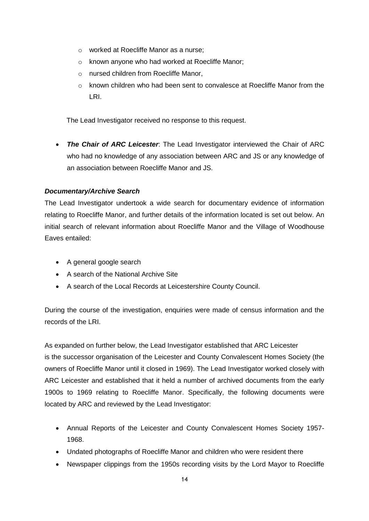- o worked at Roecliffe Manor as a nurse;
- o known anyone who had worked at Roecliffe Manor;
- o nursed children from Roecliffe Manor,
- $\circ$  known children who had been sent to convalesce at Roecliffe Manor from the LRI.

The Lead Investigator received no response to this request.

 *The Chair of ARC Leicester*: The Lead Investigator interviewed the Chair of ARC who had no knowledge of any association between ARC and JS or any knowledge of an association between Roecliffe Manor and JS.

## *Documentary/Archive Search*

The Lead Investigator undertook a wide search for documentary evidence of information relating to Roecliffe Manor, and further details of the information located is set out below. An initial search of relevant information about Roecliffe Manor and the Village of Woodhouse Eaves entailed:

- A general google search
- A search of the National Archive Site
- A search of the Local Records at Leicestershire County Council.

During the course of the investigation, enquiries were made of census information and the records of the LRI.

As expanded on further below, the Lead Investigator established that ARC Leicester is the successor organisation of the Leicester and County Convalescent Homes Society (the owners of Roecliffe Manor until it closed in 1969). The Lead Investigator worked closely with ARC Leicester and established that it held a number of archived documents from the early 1900s to 1969 relating to Roecliffe Manor. Specifically, the following documents were located by ARC and reviewed by the Lead Investigator:

- Annual Reports of the Leicester and County Convalescent Homes Society 1957- 1968.
- Undated photographs of Roecliffe Manor and children who were resident there
- Newspaper clippings from the 1950s recording visits by the Lord Mayor to Roecliffe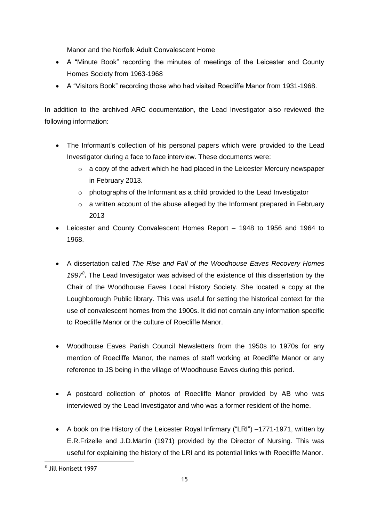Manor and the Norfolk Adult Convalescent Home

- A "Minute Book" recording the minutes of meetings of the Leicester and County Homes Society from 1963-1968
- A "Visitors Book" recording those who had visited Roecliffe Manor from 1931-1968.

In addition to the archived ARC documentation, the Lead Investigator also reviewed the following information:

- The Informant's collection of his personal papers which were provided to the Lead Investigator during a face to face interview. These documents were:
	- o a copy of the advert which he had placed in the Leicester Mercury newspaper in February 2013.
	- o photographs of the Informant as a child provided to the Lead Investigator
	- o a written account of the abuse alleged by the Informant prepared in February 2013
- Leicester and County Convalescent Homes Report 1948 to 1956 and 1964 to 1968.
- A dissertation called *The Rise and Fall of the Woodhouse Eaves Recovery Homes 1997<sup>8</sup>* **.** The Lead Investigator was advised of the existence of this dissertation by the Chair of the Woodhouse Eaves Local History Society. She located a copy at the Loughborough Public library. This was useful for setting the historical context for the use of convalescent homes from the 1900s. It did not contain any information specific to Roecliffe Manor or the culture of Roecliffe Manor.
- Woodhouse Eaves Parish Council Newsletters from the 1950s to 1970s for any mention of Roecliffe Manor, the names of staff working at Roecliffe Manor or any reference to JS being in the village of Woodhouse Eaves during this period.
- A postcard collection of photos of Roecliffe Manor provided by AB who was interviewed by the Lead Investigator and who was a former resident of the home.
- A book on the History of the Leicester Royal Infirmary ("LRI") –1771-1971, written by E.R.Frizelle and J.D.Martin (1971) provided by the Director of Nursing. This was useful for explaining the history of the LRI and its potential links with Roecliffe Manor.

 8 Jill Honisett 1997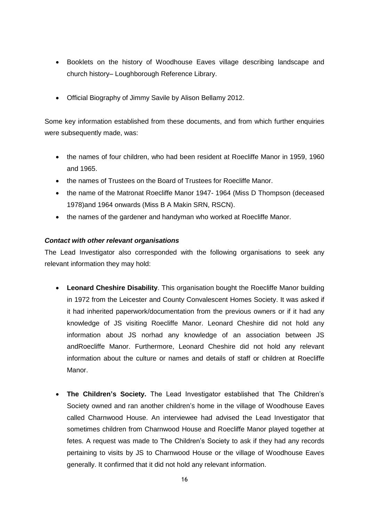- Booklets on the history of Woodhouse Eaves village describing landscape and church history– Loughborough Reference Library.
- Official Biography of Jimmy Savile by Alison Bellamy 2012.

Some key information established from these documents, and from which further enquiries were subsequently made, was:

- the names of four children, who had been resident at Roecliffe Manor in 1959, 1960 and 1965.
- the names of Trustees on the Board of Trustees for Roecliffe Manor.
- the name of the Matronat Roecliffe Manor 1947- 1964 (Miss D Thompson (deceased 1978)and 1964 onwards (Miss B A Makin SRN, RSCN).
- the names of the gardener and handyman who worked at Roecliffe Manor.

## *Contact with other relevant organisations*

The Lead Investigator also corresponded with the following organisations to seek any relevant information they may hold:

- **Leonard Cheshire Disability**. This organisation bought the Roecliffe Manor building in 1972 from the Leicester and County Convalescent Homes Society. It was asked if it had inherited paperwork/documentation from the previous owners or if it had any knowledge of JS visiting Roecliffe Manor. Leonard Cheshire did not hold any information about JS norhad any knowledge of an association between JS andRoecliffe Manor. Furthermore, Leonard Cheshire did not hold any relevant information about the culture or names and details of staff or children at Roecliffe Manor.
- **The Children's Society.** The Lead Investigator established that The Children's Society owned and ran another children's home in the village of Woodhouse Eaves called Charnwood House. An interviewee had advised the Lead Investigator that sometimes children from Charnwood House and Roecliffe Manor played together at fetes. A request was made to The Children's Society to ask if they had any records pertaining to visits by JS to Charnwood House or the village of Woodhouse Eaves generally. It confirmed that it did not hold any relevant information.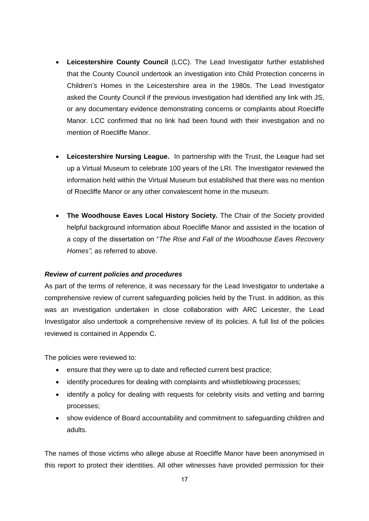- **Leicestershire County Council** (LCC). The Lead Investigator further established that the County Council undertook an investigation into Child Protection concerns in Children's Homes in the Leicestershire area in the 1980s. The Lead Investigator asked the County Council if the previous investigation had identified any link with JS, or any documentary evidence demonstrating concerns or complaints about Roecliffe Manor. LCC confirmed that no link had been found with their investigation and no mention of Roecliffe Manor.
- **Leicestershire Nursing League.** In partnership with the Trust, the League had set up a Virtual Museum to celebrate 100 years of the LRI*.* The Investigator reviewed the information held within the Virtual Museum but established that there was no mention of Roecliffe Manor or any other convalescent home in the museum.
- **The Woodhouse Eaves Local History Society.** The Chair of the Society provided helpful background information about Roecliffe Manor and assisted in the location of a copy of the dissertation on "*The Rise and Fall of the Woodhouse Eaves Recovery Homes",* as referred to above.

#### *Review of current policies and procedures*

As part of the terms of reference, it was necessary for the Lead Investigator to undertake a comprehensive review of current safeguarding policies held by the Trust. In addition, as this was an investigation undertaken in close collaboration with ARC Leicester, the Lead Investigator also undertook a comprehensive review of its policies. A full list of the policies reviewed is contained in Appendix C.

The policies were reviewed to:

- ensure that they were up to date and reflected current best practice;
- identify procedures for dealing with complaints and whistleblowing processes;
- identify a policy for dealing with requests for celebrity visits and vetting and barring processes;
- show evidence of Board accountability and commitment to safeguarding children and adults.

The names of those victims who allege abuse at Roecliffe Manor have been anonymised in this report to protect their identities. All other witnesses have provided permission for their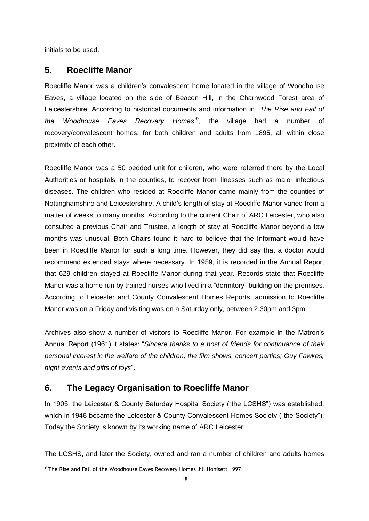initials to be used.

# <span id="page-17-0"></span>**5. Roecliffe Manor**

Roecliffe Manor was a children's convalescent home located in the village of Woodhouse Eaves, a village located on the side of Beacon Hill, in the Charnwood Forest area of Leicestershire. According to historical documents and information in "*The Rise and Fall of the Woodhouse Eaves Recovery Homes"*<sup>9</sup> , the village had a number of recovery/convalescent homes, for both children and adults from 1895, all within close proximity of each other.

Roecliffe Manor was a 50 bedded unit for children, who were referred there by the Local Authorities or hospitals in the counties, to recover from illnesses such as major infectious diseases. The children who resided at Roecliffe Manor came mainly from the counties of Nottinghamshire and Leicestershire. A child's length of stay at Roecliffe Manor varied from a matter of weeks to many months. According to the current Chair of ARC Leicester, who also consulted a previous Chair and Trustee, a length of stay at Roecliffe Manor beyond a few months was unusual. Both Chairs found it hard to believe that the Informant would have been in Roecliffe Manor for such a long time. However, they did say that a doctor would recommend extended stays where necessary. In 1959, it is recorded in the Annual Report that 629 children stayed at Roecliffe Manor during that year. Records state that Roecliffe Manor was a home run by trained nurses who lived in a "dormitory" building on the premises. According to Leicester and County Convalescent Homes Reports, admission to Roecliffe Manor was on a Friday and visiting was on a Saturday only, between 2.30pm and 3pm.

Archives also show a number of visitors to Roecliffe Manor. For example in the Matron's Annual Report (1961) it states: "*Sincere thanks to a host of friends for continuance of their personal interest in the welfare of the children; the film shows, concert parties; Guy Fawkes, night events and gifts of toys*".

# <span id="page-17-1"></span>**6. The Legacy Organisation to Roecliffe Manor**

In 1905, the Leicester & County Saturday Hospital Society ("the LCSHS") was established, which in 1948 became the Leicester & County Convalescent Homes Society ("the Society"). Today the Society is known by its working name of ARC Leicester.

The LCSHS, and later the Society, owned and ran a number of children and adults homes

 $\overline{a}$ 

<sup>&</sup>lt;sup>9</sup> The Rise and Fall of the Woodhouse Eaves Recovery Homes Jill Honisett 1997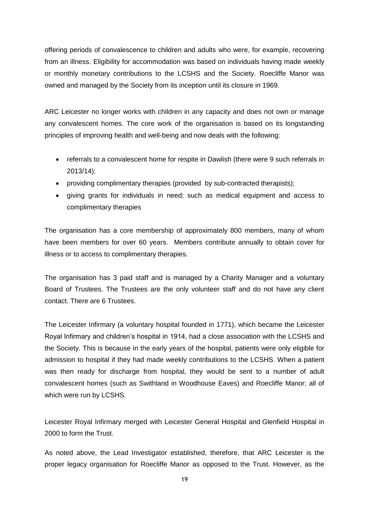offering periods of convalescence to children and adults who were, for example, recovering from an illness. Eligibility for accommodation was based on individuals having made weekly or monthly monetary contributions to the LCSHS and the Society. Roecliffe Manor was owned and managed by the Society from its inception until its closure in 1969.

ARC Leicester no longer works with children in any capacity and does not own or manage any convalescent homes. The core work of the organisation is based on its longstanding principles of improving health and well-being and now deals with the following:

- referrals to a convalescent home for respite in Dawlish (there were 9 such referrals in 2013/14);
- providing complimentary therapies (provided by sub-contracted therapists);
- giving grants for individuals in need; such as medical equipment and access to complimentary therapies

The organisation has a core membership of approximately 800 members, many of whom have been members for over 60 years. Members contribute annually to obtain cover for illness or to access to complimentary therapies.

The organisation has 3 paid staff and is managed by a Charity Manager and a voluntary Board of Trustees. The Trustees are the only volunteer staff and do not have any client contact. There are 6 Trustees.

The Leicester Infirmary (a voluntary hospital founded in 1771), which became the Leicester Royal Infirmary and children's hospital in 1914, had a close association with the LCSHS and the Society. This is because in the early years of the hospital, patients were only eligible for admission to hospital if they had made weekly contributions to the LCSHS. When a patient was then ready for discharge from hospital, they would be sent to a number of adult convalescent homes (such as Swithland in Woodhouse Eaves) and Roecliffe Manor; all of which were run by LCSHS.

[Leicester Royal Infirmary](http://en.wikipedia.org/wiki/Leicester_Royal_Infirmary) merged with [Leicester General Hospital](http://en.wikipedia.org/wiki/Leicester_General_Hospital) and [Glenfield Hospital](http://en.wikipedia.org/wiki/Glenfield_Hospital) in 2000 to form the Trust.

As noted above, the Lead Investigator established, therefore, that ARC Leicester is the proper legacy organisation for Roecliffe Manor as opposed to the Trust. However, as the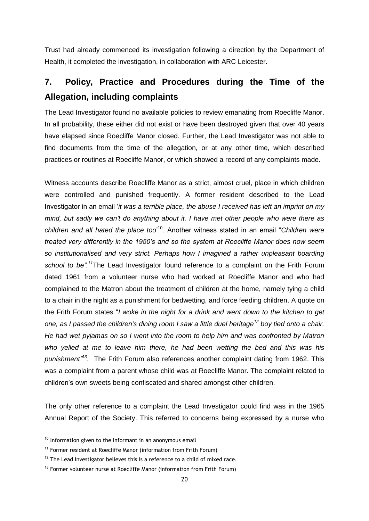Trust had already commenced its investigation following a direction by the Department of Health, it completed the investigation, in collaboration with ARC Leicester.

# <span id="page-19-0"></span>**7. Policy, Practice and Procedures during the Time of the Allegation, including complaints**

The Lead Investigator found no available policies to review emanating from Roecliffe Manor. In all probability, these either did not exist or have been destroyed given that over 40 years have elapsed since Roecliffe Manor closed. Further, the Lead Investigator was not able to find documents from the time of the allegation, or at any other time, which described practices or routines at Roecliffe Manor, or which showed a record of any complaints made.

Witness accounts describe Roecliffe Manor as a strict, almost cruel, place in which children were controlled and punished frequently. A former resident described to the Lead Investigator in an email '*it was a terrible place, the abuse I received has left an imprint on my mind, but sadly we can't do anything about it. I have met other people who were there as children and all hated the place too*' <sup>10</sup>. Another witness stated in an email "*Children were treated very differently in the 1950's and so the system at Roecliffe Manor does now seem so institutionalised and very strict. Perhaps how I imagined a rather unpleasant boarding school to be".<sup>11</sup>*The Lead Investigator found reference to a complaint on the Frith Forum dated 1961 from a volunteer nurse who had worked at Roecliffe Manor and who had complained to the Matron about the treatment of children at the home, namely tying a child to a chair in the night as a punishment for bedwetting, and force feeding children. A quote on the Frith Forum states "*I woke in the night for a drink and went down to the kitchen to get one, as I passed the children's dining room I saw a little duel heritage<sup>12</sup> boy tied onto a chair. He had wet pyjamas on so I went into the room to help him and was confronted by Matron who yelled at me to leave him there, he had been wetting the bed and this was his punishment" 13* . The Frith Forum also references another complaint dating from 1962. This was a complaint from a parent whose child was at Roecliffe Manor. The complaint related to children's own sweets being confiscated and shared amongst other children.

The only other reference to a complaint the Lead Investigator could find was in the 1965 Annual Report of the Society. This referred to concerns being expressed by a nurse who

 $\overline{a}$ 

 $10$  Information given to the Informant in an anonymous email

<sup>&</sup>lt;sup>11</sup> Former resident at Roecliffe Manor (information from Frith Forum)

 $12$  The Lead Investigator believes this is a reference to a child of mixed race.

 $13$  Former volunteer nurse at Roecliffe Manor (information from Frith Forum)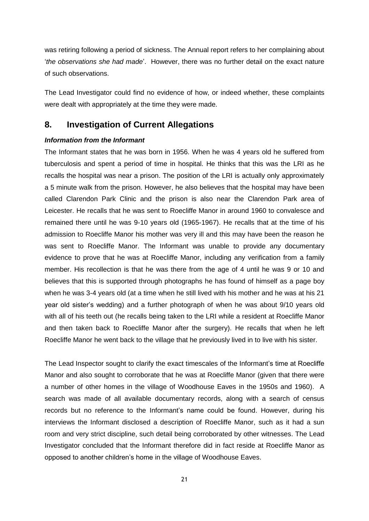was retiring following a period of sickness. The Annual report refers to her complaining about '*the observations she had made*'. However, there was no further detail on the exact nature of such observations.

The Lead Investigator could find no evidence of how, or indeed whether, these complaints were dealt with appropriately at the time they were made.

# <span id="page-20-0"></span>**8. Investigation of Current Allegations**

### *Information from the Informant*

The Informant states that he was born in 1956. When he was 4 years old he suffered from tuberculosis and spent a period of time in hospital. He thinks that this was the LRI as he recalls the hospital was near a prison. The position of the LRI is actually only approximately a 5 minute walk from the prison. However, he also believes that the hospital may have been called Clarendon Park Clinic and the prison is also near the Clarendon Park area of Leicester. He recalls that he was sent to Roecliffe Manor in around 1960 to convalesce and remained there until he was 9-10 years old (1965-1967). He recalls that at the time of his admission to Roecliffe Manor his mother was very ill and this may have been the reason he was sent to Roecliffe Manor. The Informant was unable to provide any documentary evidence to prove that he was at Roecliffe Manor, including any verification from a family member. His recollection is that he was there from the age of 4 until he was 9 or 10 and believes that this is supported through photographs he has found of himself as a page boy when he was 3-4 years old (at a time when he still lived with his mother and he was at his 21 year old sister's wedding) and a further photograph of when he was about 9/10 years old with all of his teeth out (he recalls being taken to the LRI while a resident at Roecliffe Manor and then taken back to Roecliffe Manor after the surgery). He recalls that when he left Roecliffe Manor he went back to the village that he previously lived in to live with his sister.

The Lead Inspector sought to clarify the exact timescales of the Informant's time at Roecliffe Manor and also sought to corroborate that he was at Roecliffe Manor (given that there were a number of other homes in the village of Woodhouse Eaves in the 1950s and 1960). A search was made of all available documentary records, along with a search of census records but no reference to the Informant's name could be found. However, during his interviews the Informant disclosed a description of Roecliffe Manor, such as it had a sun room and very strict discipline, such detail being corroborated by other witnesses. The Lead Investigator concluded that the Informant therefore did in fact reside at Roecliffe Manor as opposed to another children's home in the village of Woodhouse Eaves.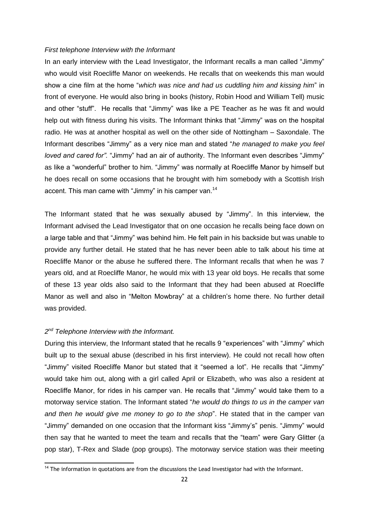#### *First telephone Interview with the Informant*

In an early interview with the Lead Investigator, the Informant recalls a man called "Jimmy" who would visit Roecliffe Manor on weekends. He recalls that on weekends this man would show a cine film at the home "*which was nice and had us cuddling him and kissing him*" in front of everyone. He would also bring in books (history, Robin Hood and William Tell) music and other "stuff". He recalls that "Jimmy" was like a PE Teacher as he was fit and would help out with fitness during his visits. The Informant thinks that "Jimmy" was on the hospital radio. He was at another hospital as well on the other side of Nottingham – Saxondale. The Informant describes "Jimmy" as a very nice man and stated "*he managed to make you feel loved and cared for".* "Jimmy" had an air of authority. The Informant even describes "Jimmy" as like a "wonderful" brother to him. "Jimmy" was normally at Roecliffe Manor by himself but he does recall on some occasions that he brought with him somebody with a Scottish Irish accent. This man came with "Jimmy" in his camper van.<sup>14</sup>

The Informant stated that he was sexually abused by "Jimmy". In this interview, the Informant advised the Lead Investigator that on one occasion he recalls being face down on a large table and that "Jimmy" was behind him. He felt pain in his backside but was unable to provide any further detail. He stated that he has never been able to talk about his time at Roecliffe Manor or the abuse he suffered there. The Informant recalls that when he was 7 years old, and at Roecliffe Manor, he would mix with 13 year old boys. He recalls that some of these 13 year olds also said to the Informant that they had been abused at Roecliffe Manor as well and also in "Melton Mowbray" at a children's home there. No further detail was provided.

### *2 nd Telephone Interview with the Informant.*

 $\overline{a}$ 

During this interview, the Informant stated that he recalls 9 "experiences" with "Jimmy" which built up to the sexual abuse (described in his first interview). He could not recall how often "Jimmy" visited Roecliffe Manor but stated that it "seemed a lot". He recalls that "Jimmy" would take him out, along with a girl called April or Elizabeth, who was also a resident at Roecliffe Manor, for rides in his camper van. He recalls that "Jimmy" would take them to a motorway service station. The Informant stated "*he would do things to us in the camper van and then he would give me money to go to the shop*". He stated that in the camper van "Jimmy" demanded on one occasion that the Informant kiss "Jimmy's" penis. "Jimmy" would then say that he wanted to meet the team and recalls that the "team" were Gary Glitter (a pop star), T-Rex and Slade (pop groups). The motorway service station was their meeting

 $14$  The information in quotations are from the discussions the Lead Investigator had with the Informant.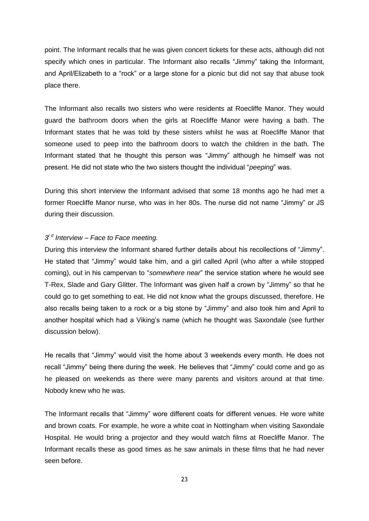point. The Informant recalls that he was given concert tickets for these acts, although did not specify which ones in particular. The Informant also recalls "Jimmy" taking the Informant, and April/Elizabeth to a "rock" or a large stone for a picnic but did not say that abuse took place there.

The Informant also recalls two sisters who were residents at Roecliffe Manor. They would guard the bathroom doors when the girls at Roecliffe Manor were having a bath. The Informant states that he was told by these sisters whilst he was at Roecliffe Manor that someone used to peep into the bathroom doors to watch the children in the bath. The Informant stated that he thought this person was "Jimmy" although he himself was not present. He did not state who the two sisters thought the individual "*peeping*" was.

During this short interview the Informant advised that some 18 months ago he had met a former Roecliffe Manor nurse, who was in her 80s. The nurse did not name "Jimmy" or JS during their discussion.

## *3 r d Interview – Face to Face meeting.*

During this interview the Informant shared further details about his recollections of "Jimmy". He stated that "Jimmy" would take him, and a girl called April (who after a while stopped coming), out in his campervan to "*somewhere near*" the service station where he would see T-Rex, Slade and Gary Glitter. The Informant was given half a crown by "Jimmy" so that he could go to get something to eat. He did not know what the groups discussed, therefore. He also recalls being taken to a rock or a big stone by "Jimmy" and also took him and April to another hospital which had a Viking's name (which he thought was Saxondale (see further discussion below).

He recalls that "Jimmy" would visit the home about 3 weekends every month. He does not recall "Jimmy" being there during the week. He believes that "Jimmy" could come and go as he pleased on weekends as there were many parents and visitors around at that time. Nobody knew who he was.

The Informant recalls that "Jimmy" wore different coats for different venues. He wore white and brown coats. For example, he wore a white coat in Nottingham when visiting Saxondale Hospital. He would bring a projector and they would watch films at Roecliffe Manor. The Informant recalls these as good times as he saw animals in these films that he had never seen before.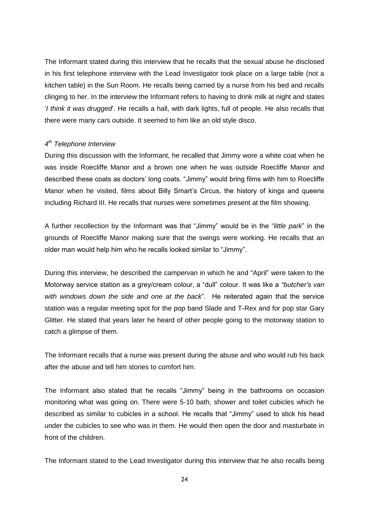The Informant stated during this interview that he recalls that the sexual abuse he disclosed in his first telephone interview with the Lead Investigator took place on a large table (not a kitchen table) in the Sun Room. He recalls being carried by a nurse from his bed and recalls clinging to her. In the interview the Informant refers to having to drink milk at night and states '*I think it was drugged*'. He recalls a hall, with dark lights, full of people. He also recalls that there were many cars outside. It seemed to him like an old style disco.

### *4 th Telephone Interview*

During this discussion with the Informant, he recalled that Jimmy wore a white coat when he was inside Roecliffe Manor and a brown one when he was outside Roecliffe Manor and described these coats as doctors' long coats. "Jimmy" would bring films with him to Roecliffe Manor when he visited, films about Billy Smart's Circus, the history of kings and queens including Richard III. He recalls that nurses were sometimes present at the film showing.

A further recollection by the Informant was that "Jimmy" would be in the "*little park*" in the grounds of Roecliffe Manor making sure that the swings were working. He recalls that an older man would help him who he recalls looked similar to "Jimmy".

During this interview, he described the campervan in which he and "April" were taken to the Motorway service station as a grey/cream colour, a "dull" colour. It was like a *"butcher's van with windows down the side and one at the back*". He reiterated again that the service station was a regular meeting spot for the pop band Slade and T-Rex and for pop star Gary Glitter. He stated that years later he heard of other people going to the motorway station to catch a glimpse of them.

The Informant recalls that a nurse was present during the abuse and who would rub his back after the abuse and tell him stories to comfort him.

The Informant also stated that he recalls "Jimmy" being in the bathrooms on occasion monitoring what was going on. There were 5-10 bath, shower and toilet cubicles which he described as similar to cubicles in a school. He recalls that "Jimmy" used to stick his head under the cubicles to see who was in them. He would then open the door and masturbate in front of the children.

The Informant stated to the Lead Investigator during this interview that he also recalls being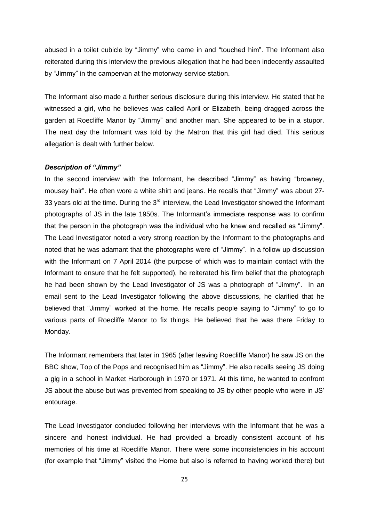abused in a toilet cubicle by "Jimmy" who came in and "touched him". The Informant also reiterated during this interview the previous allegation that he had been indecently assaulted by "Jimmy" in the campervan at the motorway service station.

The Informant also made a further serious disclosure during this interview. He stated that he witnessed a girl, who he believes was called April or Elizabeth, being dragged across the garden at Roecliffe Manor by "Jimmy" and another man. She appeared to be in a stupor. The next day the Informant was told by the Matron that this girl had died. This serious allegation is dealt with further below.

#### *Description of "Jimmy"*

In the second interview with the Informant, he described "Jimmy" as having "browney, mousey hair". He often wore a white shirt and jeans. He recalls that "Jimmy" was about 27- 33 years old at the time. During the  $3<sup>rd</sup>$  interview, the Lead Investigator showed the Informant photographs of JS in the late 1950s. The Informant's immediate response was to confirm that the person in the photograph was the individual who he knew and recalled as "Jimmy". The Lead Investigator noted a very strong reaction by the Informant to the photographs and noted that he was adamant that the photographs were of "Jimmy". In a follow up discussion with the Informant on 7 April 2014 (the purpose of which was to maintain contact with the Informant to ensure that he felt supported), he reiterated his firm belief that the photograph he had been shown by the Lead Investigator of JS was a photograph of "Jimmy". In an email sent to the Lead Investigator following the above discussions, he clarified that he believed that "Jimmy" worked at the home. He recalls people saying to "Jimmy" to go to various parts of Roecliffe Manor to fix things. He believed that he was there Friday to Monday.

The Informant remembers that later in 1965 (after leaving Roecliffe Manor) he saw JS on the BBC show, Top of the Pops and recognised him as "Jimmy". He also recalls seeing JS doing a gig in a school in Market Harborough in 1970 or 1971. At this time, he wanted to confront JS about the abuse but was prevented from speaking to JS by other people who were in JS' entourage.

The Lead Investigator concluded following her interviews with the Informant that he was a sincere and honest individual. He had provided a broadly consistent account of his memories of his time at Roecliffe Manor. There were some inconsistencies in his account (for example that "Jimmy" visited the Home but also is referred to having worked there) but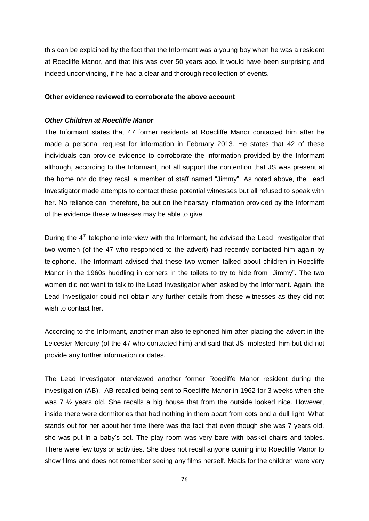this can be explained by the fact that the Informant was a young boy when he was a resident at Roecliffe Manor, and that this was over 50 years ago. It would have been surprising and indeed unconvincing, if he had a clear and thorough recollection of events.

#### **Other evidence reviewed to corroborate the above account**

#### *Other Children at Roecliffe Manor*

The Informant states that 47 former residents at Roecliffe Manor contacted him after he made a personal request for information in February 2013. He states that 42 of these individuals can provide evidence to corroborate the information provided by the Informant although, according to the Informant, not all support the contention that JS was present at the home nor do they recall a member of staff named "Jimmy". As noted above, the Lead Investigator made attempts to contact these potential witnesses but all refused to speak with her. No reliance can, therefore, be put on the hearsay information provided by the Informant of the evidence these witnesses may be able to give.

During the  $4<sup>th</sup>$  telephone interview with the Informant, he advised the Lead Investigator that two women (of the 47 who responded to the advert) had recently contacted him again by telephone. The Informant advised that these two women talked about children in Roecliffe Manor in the 1960s huddling in corners in the toilets to try to hide from "Jimmy". The two women did not want to talk to the Lead Investigator when asked by the Informant. Again, the Lead Investigator could not obtain any further details from these witnesses as they did not wish to contact her.

According to the Informant, another man also telephoned him after placing the advert in the Leicester Mercury (of the 47 who contacted him) and said that JS 'molested' him but did not provide any further information or dates.

The Lead Investigator interviewed another former Roecliffe Manor resident during the investigation (AB). AB recalled being sent to Roecliffe Manor in 1962 for 3 weeks when she was 7  $\frac{1}{2}$  years old. She recalls a big house that from the outside looked nice. However, inside there were dormitories that had nothing in them apart from cots and a dull light. What stands out for her about her time there was the fact that even though she was 7 years old, she was put in a baby's cot. The play room was very bare with basket chairs and tables. There were few toys or activities. She does not recall anyone coming into Roecliffe Manor to show films and does not remember seeing any films herself. Meals for the children were very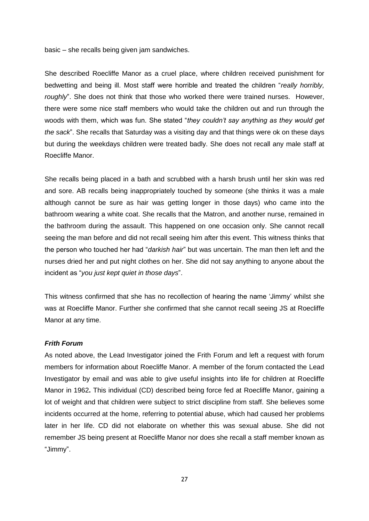basic – she recalls being given jam sandwiches.

She described Roecliffe Manor as a cruel place, where children received punishment for bedwetting and being ill. Most staff were horrible and treated the children "*really horribly, roughly*". She does not think that those who worked there were trained nurses. However, there were some nice staff members who would take the children out and run through the woods with them, which was fun. She stated "*they couldn't say anything as they would get the sack*". She recalls that Saturday was a visiting day and that things were ok on these days but during the weekdays children were treated badly. She does not recall any male staff at Roecliffe Manor.

She recalls being placed in a bath and scrubbed with a harsh brush until her skin was red and sore. AB recalls being inappropriately touched by someone (she thinks it was a male although cannot be sure as hair was getting longer in those days) who came into the bathroom wearing a white coat. She recalls that the Matron, and another nurse, remained in the bathroom during the assault. This happened on one occasion only. She cannot recall seeing the man before and did not recall seeing him after this event. This witness thinks that the person who touched her had "*darkish hair*" but was uncertain. The man then left and the nurses dried her and put night clothes on her. She did not say anything to anyone about the incident as "*you just kept quiet in those days*".

This witness confirmed that she has no recollection of hearing the name 'Jimmy' whilst she was at Roecliffe Manor. Further she confirmed that she cannot recall seeing JS at Roecliffe Manor at any time.

#### *Frith Forum*

As noted above, the Lead Investigator joined the Frith Forum and left a request with forum members for information about Roecliffe Manor. A member of the forum contacted the Lead Investigator by email and was able to give useful insights into life for children at Roecliffe Manor in 1962**.** This individual (CD) described being force fed at Roecliffe Manor, gaining a lot of weight and that children were subject to strict discipline from staff. She believes some incidents occurred at the home, referring to potential abuse, which had caused her problems later in her life. CD did not elaborate on whether this was sexual abuse. She did not remember JS being present at Roecliffe Manor nor does she recall a staff member known as "Jimmy".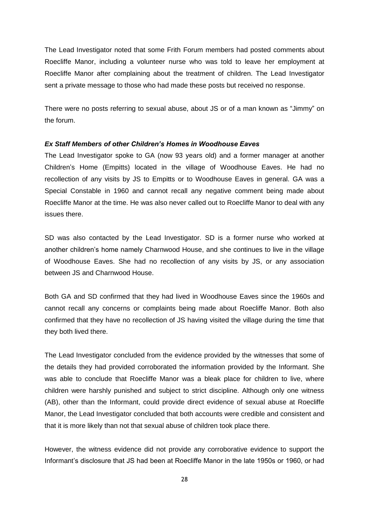The Lead Investigator noted that some Frith Forum members had posted comments about Roecliffe Manor, including a volunteer nurse who was told to leave her employment at Roecliffe Manor after complaining about the treatment of children. The Lead Investigator sent a private message to those who had made these posts but received no response.

There were no posts referring to sexual abuse, about JS or of a man known as "Jimmy" on the forum.

#### *Ex Staff Members of other Children's Homes in Woodhouse Eaves*

The Lead Investigator spoke to GA (now 93 years old) and a former manager at another Children's Home (Empitts) located in the village of Woodhouse Eaves. He had no recollection of any visits by JS to Empitts or to Woodhouse Eaves in general. GA was a Special Constable in 1960 and cannot recall any negative comment being made about Roecliffe Manor at the time. He was also never called out to Roecliffe Manor to deal with any issues there.

SD was also contacted by the Lead Investigator. SD is a former nurse who worked at another children's home namely Charnwood House, and she continues to live in the village of Woodhouse Eaves. She had no recollection of any visits by JS, or any association between JS and Charnwood House.

Both GA and SD confirmed that they had lived in Woodhouse Eaves since the 1960s and cannot recall any concerns or complaints being made about Roecliffe Manor. Both also confirmed that they have no recollection of JS having visited the village during the time that they both lived there.

The Lead Investigator concluded from the evidence provided by the witnesses that some of the details they had provided corroborated the information provided by the Informant. She was able to conclude that Roecliffe Manor was a bleak place for children to live, where children were harshly punished and subject to strict discipline. Although only one witness (AB), other than the Informant, could provide direct evidence of sexual abuse at Roecliffe Manor, the Lead Investigator concluded that both accounts were credible and consistent and that it is more likely than not that sexual abuse of children took place there.

However, the witness evidence did not provide any corroborative evidence to support the Informant's disclosure that JS had been at Roecliffe Manor in the late 1950s or 1960, or had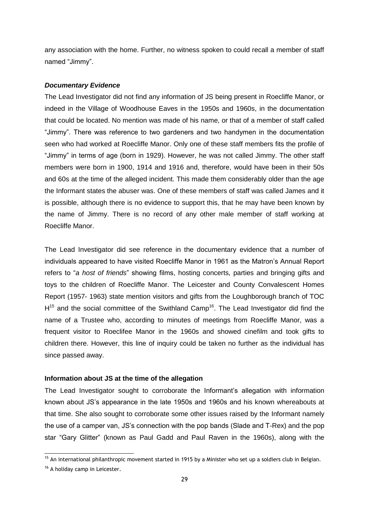any association with the home. Further, no witness spoken to could recall a member of staff named "Jimmy".

### *Documentary Evidence*

The Lead Investigator did not find any information of JS being present in Roecliffe Manor, or indeed in the Village of Woodhouse Eaves in the 1950s and 1960s, in the documentation that could be located. No mention was made of his name, or that of a member of staff called "Jimmy". There was reference to two gardeners and two handymen in the documentation seen who had worked at Roecliffe Manor. Only one of these staff members fits the profile of "Jimmy" in terms of age (born in 1929). However, he was not called Jimmy. The other staff members were born in 1900, 1914 and 1916 and, therefore, would have been in their 50s and 60s at the time of the alleged incident. This made them considerably older than the age the Informant states the abuser was. One of these members of staff was called James and it is possible, although there is no evidence to support this, that he may have been known by the name of Jimmy. There is no record of any other male member of staff working at Roecliffe Manor.

The Lead Investigator did see reference in the documentary evidence that a number of individuals appeared to have visited Roecliffe Manor in 1961 as the Matron's Annual Report refers to "*a host of friends*" showing films, hosting concerts, parties and bringing gifts and toys to the children of Roecliffe Manor. The Leicester and County Convalescent Homes Report (1957- 1963) state mention visitors and gifts from the Loughborough branch of TOC  $H<sup>15</sup>$  and the social committee of the Swithland Camp<sup>16</sup>. The Lead Investigator did find the name of a Trustee who, according to minutes of meetings from Roecliffe Manor, was a frequent visitor to Roeclifee Manor in the 1960s and showed cinefilm and took gifts to children there. However, this line of inquiry could be taken no further as the individual has since passed away.

#### **Information about JS at the time of the allegation**

The Lead Investigator sought to corroborate the Informant's allegation with information known about JS's appearance in the late 1950s and 1960s and his known whereabouts at that time. She also sought to corroborate some other issues raised by the Informant namely the use of a camper van, JS's connection with the pop bands (Slade and T-Rex) and the pop star "Gary Glitter" (known as Paul Gadd and Paul Raven in the 1960s), along with the

-

<sup>&</sup>lt;sup>15</sup> An international philanthropic movement started in 1915 by a Minister who set up a soldiers club in Belgian.

<sup>&</sup>lt;sup>16</sup> A holiday camp in Leicester.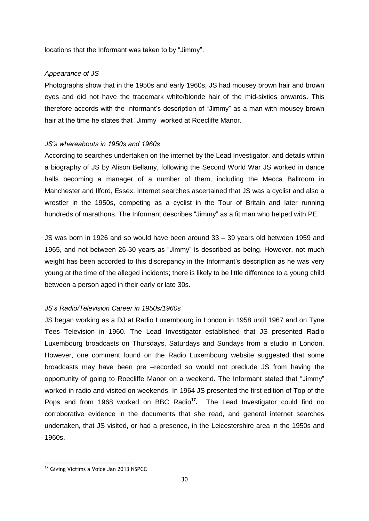locations that the Informant was taken to by "Jimmy".

#### *Appearance of JS*

Photographs show that in the 1950s and early 1960s, JS had mousey brown hair and brown eyes and did not have the trademark white/blonde hair of the mid-sixties onwards**.** This therefore accords with the Informant's description of "Jimmy" as a man with mousey brown hair at the time he states that "Jimmy" worked at Roecliffe Manor.

#### *JS's whereabouts in 1950s and 1960s*

According to searches undertaken on the internet by the Lead Investigator, and details within a biography of JS by Alison Bellamy, following the Second World War JS worked in dance halls becoming a manager of a number of them, including the Mecca Ballroom in Manchester and Ilford, Essex. Internet searches ascertained that JS was a cyclist and also a wrestler in the 1950s, competing as a cyclist in the Tour of Britain and later running hundreds of marathons. The Informant describes "Jimmy" as a fit man who helped with PE.

JS was born in 1926 and so would have been around 33 – 39 years old between 1959 and 1965, and not between 26-30 years as "Jimmy" is described as being. However, not much weight has been accorded to this discrepancy in the Informant's description as he was very young at the time of the alleged incidents; there is likely to be little difference to a young child between a person aged in their early or late 30s.

## *JS's Radio/Television Career in 1950s/1960s*

JS began working as a DJ at Radio Luxembourg in London in 1958 until 1967 and on Tyne Tees Television in 1960. The Lead Investigator established that JS presented Radio Luxembourg broadcasts on Thursdays, Saturdays and Sundays from a studio in London. However, one comment found on the Radio Luxembourg website suggested that some broadcasts may have been pre –recorded so would not preclude JS from having the opportunity of going to Roecliffe Manor on a weekend. The Informant stated that "Jimmy" worked in radio and visited on weekends. In 1964 JS presented the first edition of Top of the Pops and from 1968 worked on BBC Radio<sup>17</sup>. The Lead Investigator could find no corroborative evidence in the documents that she read, and general internet searches undertaken, that JS visited, or had a presence, in the Leicestershire area in the 1950s and 1960s.

 $\overline{a}$ 

<sup>&</sup>lt;sup>17</sup> Giving Victims a Voice Jan 2013 NSPCC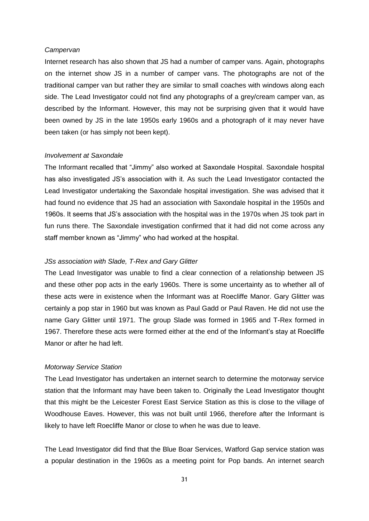#### *Campervan*

Internet research has also shown that JS had a number of camper vans. Again, photographs on the internet show JS in a number of camper vans. The photographs are not of the traditional camper van but rather they are similar to small coaches with windows along each side. The Lead Investigator could not find any photographs of a grey/cream camper van, as described by the Informant. However, this may not be surprising given that it would have been owned by JS in the late 1950s early 1960s and a photograph of it may never have been taken (or has simply not been kept).

#### *Involvement at Saxondale*

The Informant recalled that "Jimmy" also worked at Saxondale Hospital. Saxondale hospital has also investigated JS's association with it. As such the Lead Investigator contacted the Lead Investigator undertaking the Saxondale hospital investigation. She was advised that it had found no evidence that JS had an association with Saxondale hospital in the 1950s and 1960s. It seems that JS's association with the hospital was in the 1970s when JS took part in fun runs there. The Saxondale investigation confirmed that it had did not come across any staff member known as "Jimmy" who had worked at the hospital.

#### *JSs association with Slade, T-Rex and Gary Glitter*

The Lead Investigator was unable to find a clear connection of a relationship between JS and these other pop acts in the early 1960s. There is some uncertainty as to whether all of these acts were in existence when the Informant was at Roecliffe Manor. Gary Glitter was certainly a pop star in 1960 but was known as Paul Gadd or Paul Raven. He did not use the name Gary Glitter until 1971. The group Slade was formed in 1965 and T-Rex formed in 1967. Therefore these acts were formed either at the end of the Informant's stay at Roecliffe Manor or after he had left.

#### *Motorway Service Station*

The Lead Investigator has undertaken an internet search to determine the motorway service station that the Informant may have been taken to. Originally the Lead Investigator thought that this might be the Leicester Forest East Service Station as this is close to the village of Woodhouse Eaves. However, this was not built until 1966, therefore after the Informant is likely to have left Roecliffe Manor or close to when he was due to leave.

The Lead Investigator did find that the Blue Boar Services, Watford Gap service station was a popular destination in the 1960s as a meeting point for Pop bands. An internet search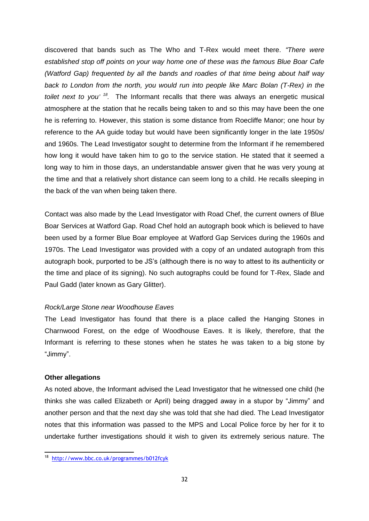discovered that bands such as The Who and T-Rex would meet there. *"There were established stop off points on your way home one of these was the famous Blue Boar Cafe (Watford Gap) frequented by all the bands and roadies of that time being about half way back to London from the north, you would run into people like Marc Bolan (T-Rex) in the toilet next to you' <sup>18</sup> .* The Informant recalls that there was always an energetic musical atmosphere at the station that he recalls being taken to and so this may have been the one he is referring to. However, this station is some distance from Roecliffe Manor; one hour by reference to the AA guide today but would have been significantly longer in the late 1950s/ and 1960s. The Lead Investigator sought to determine from the Informant if he remembered how long it would have taken him to go to the service station. He stated that it seemed a long way to him in those days, an understandable answer given that he was very young at the time and that a relatively short distance can seem long to a child. He recalls sleeping in the back of the van when being taken there.

Contact was also made by the Lead Investigator with Road Chef, the current owners of Blue Boar Services at Watford Gap. Road Chef hold an autograph book which is believed to have been used by a former Blue Boar employee at Watford Gap Services during the 1960s and 1970s. The Lead Investigator was provided with a copy of an undated autograph from this autograph book, purported to be JS's (although there is no way to attest to its authenticity or the time and place of its signing). No such autographs could be found for T-Rex, Slade and Paul Gadd (later known as Gary Glitter).

#### *Rock/Large Stone near Woodhouse Eaves*

The Lead Investigator has found that there is a place called the Hanging Stones in Charnwood Forest, on the edge of Woodhouse Eaves. It is likely, therefore, that the Informant is referring to these stones when he states he was taken to a big stone by "Jimmy".

#### **Other allegations**

As noted above, the Informant advised the Lead Investigator that he witnessed one child (he thinks she was called Elizabeth or April) being dragged away in a stupor by "Jimmy" and another person and that the next day she was told that she had died. The Lead Investigator notes that this information was passed to the MPS and Local Police force by her for it to undertake further investigations should it wish to given its extremely serious nature. The

<sup>18&</sup>lt;br>18 <http://www.bbc.co.uk/programmes/b012fcyk>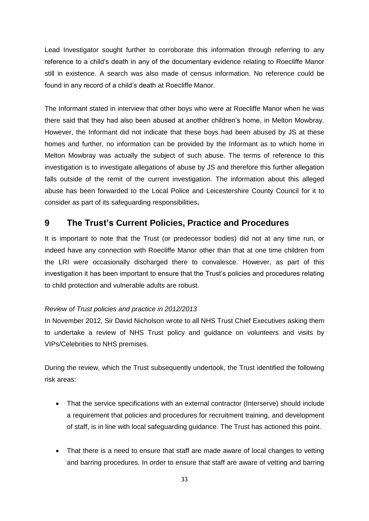Lead Investigator sought further to corroborate this information through referring to any reference to a child's death in any of the documentary evidence relating to Roecliffe Manor still in existence. A search was also made of census information. No reference could be found in any record of a child's death at Roecliffe Manor.

The Informant stated in interview that other boys who were at Roecliffe Manor when he was there said that they had also been abused at another children's home, in Melton Mowbray. However, the Informant did not indicate that these boys had been abused by JS at these homes and further, no information can be provided by the Informant as to which home in Melton Mowbray was actually the subject of such abuse. The terms of reference to this investigation is to investigate allegations of abuse by JS and therefore this further allegation falls outside of the remit of the current investigation. The information about this alleged abuse has been forwarded to the Local Police and Leicestershire County Council for it to consider as part of its safeguarding responsibilities**.**

# <span id="page-32-0"></span>**9 The Trust's Current Policies, Practice and Procedures**

It is important to note that the Trust (or predecessor bodies) did not at any time run, or indeed have any connection with Roecliffe Manor other than that at one time children from the LRI were occasionally discharged there to convalesce. However, as part of this investigation it has been important to ensure that the Trust's policies and procedures relating to child protection and vulnerable adults are robust.

## *Review of Trust policies and practice in 2012/2013*

In November 2012, Sir David Nicholson wrote to all NHS Trust Chief Executives asking them to undertake a review of NHS Trust policy and guidance on volunteers and visits by VIPs/Celebrities to NHS premises.

During the review, which the Trust subsequently undertook, the Trust identified the following risk areas:

- That the service specifications with an external contractor (Interserve) should include a requirement that policies and procedures for recruitment training, and development of staff, is in line with local safeguarding guidance. The Trust has actioned this point.
- That there is a need to ensure that staff are made aware of local changes to vetting and barring procedures. In order to ensure that staff are aware of vetting and barring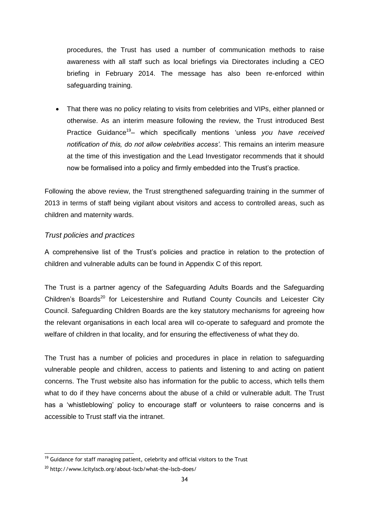procedures, the Trust has used a number of communication methods to raise awareness with all staff such as local briefings via Directorates including a CEO briefing in February 2014. The message has also been re-enforced within safeguarding training.

• That there was no policy relating to visits from celebrities and VIPs, either planned or otherwise. As an interim measure following the review, the Trust introduced Best Practice Guidance<sup>19</sup>- which specifically mentions 'unless you have received *notification of this, do not allow celebrities access'.* This remains an interim measure at the time of this investigation and the Lead Investigator recommends that it should now be formalised into a policy and firmly embedded into the Trust's practice.

Following the above review, the Trust strengthened safeguarding training in the summer of 2013 in terms of staff being vigilant about visitors and access to controlled areas, such as children and maternity wards.

## *Trust policies and practices*

A comprehensive list of the Trust's policies and practice in relation to the protection of children and vulnerable adults can be found in Appendix C of this report.

The Trust is a partner agency of the Safeguarding Adults Boards and the Safeguarding Children's Boards<sup>20</sup> for Leicestershire and Rutland County Councils and Leicester City Council. Safeguarding Children Boards are the key statutory mechanisms for agreeing how the relevant organisations in each local area will co-operate to safeguard and promote the welfare of children in that locality, and for ensuring the effectiveness of what they do.

The Trust has a number of policies and procedures in place in relation to safeguarding vulnerable people and children, access to patients and listening to and acting on patient concerns. The Trust website also has information for the public to access, which tells them what to do if they have concerns about the abuse of a child or vulnerable adult. The Trust has a 'whistleblowing' policy to encourage staff or volunteers to raise concerns and is accessible to Trust staff via the intranet.

-

 $19$  Guidance for staff managing patient, celebrity and official visitors to the Trust

<sup>20</sup> http://www.lcitylscb.org/about-lscb/what-the-lscb-does/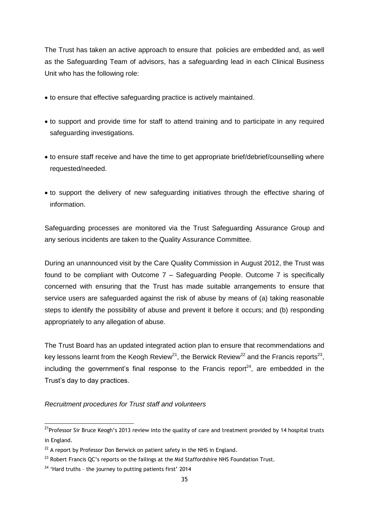The Trust has taken an active approach to ensure that policies are embedded and, as well as the Safeguarding Team of advisors, has a safeguarding lead in each Clinical Business Unit who has the following role:

- to ensure that effective safeguarding practice is actively maintained.
- to support and provide time for staff to attend training and to participate in any required safeguarding investigations.
- to ensure staff receive and have the time to get appropriate brief/debrief/counselling where requested/needed.
- to support the delivery of new safeguarding initiatives through the effective sharing of information.

Safeguarding processes are monitored via the Trust Safeguarding Assurance Group and any serious incidents are taken to the Quality Assurance Committee.

During an unannounced visit by the Care Quality Commission in August 2012, the Trust was found to be compliant with Outcome 7 – Safeguarding People. Outcome 7 is specifically concerned with ensuring that the Trust has made suitable arrangements to ensure that service users are safeguarded against the risk of abuse by means of (a) taking reasonable steps to identify the possibility of abuse and prevent it before it occurs; and (b) responding appropriately to any allegation of abuse.

The Trust Board has an updated integrated action plan to ensure that recommendations and key lessons learnt from the Keogh Review<sup>21</sup>, the Berwick Review<sup>22</sup> and the Francis reports<sup>23</sup>, including the government's final response to the Francis report<sup>24</sup>, are embedded in the Trust's day to day practices.

*Recruitment procedures for Trust staff and volunteers*

 $\overline{a}$ 

<sup>&</sup>lt;sup>21</sup>Professor Sir Bruce Keogh's 2013 review into the quality of care and treatment provided by 14 hospital trusts in England.

 $22$  A report by Professor Don Berwick on patient safety in the NHS in England.

 $^{23}$  Robert Francis QC's reports on the failings at the Mid Staffordshire NHS Foundation Trust.

 $24$  'Hard truths - the journey to putting patients first' 2014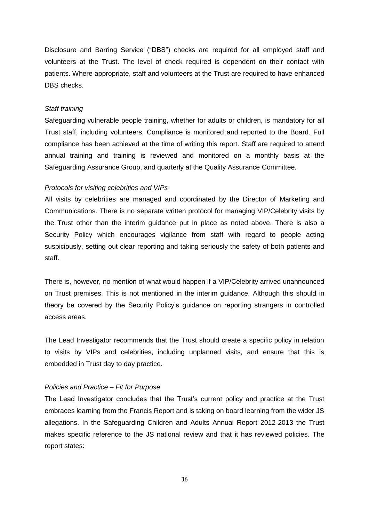Disclosure and Barring Service ("DBS") checks are required for all employed staff and volunteers at the Trust. The level of check required is dependent on their contact with patients. Where appropriate, staff and volunteers at the Trust are required to have enhanced DBS checks.

#### *Staff training*

Safeguarding vulnerable people training, whether for adults or children, is mandatory for all Trust staff, including volunteers. Compliance is monitored and reported to the Board. Full compliance has been achieved at the time of writing this report. Staff are required to attend annual training and training is reviewed and monitored on a monthly basis at the Safeguarding Assurance Group, and quarterly at the Quality Assurance Committee.

#### *Protocols for visiting celebrities and VIPs*

All visits by celebrities are managed and coordinated by the Director of Marketing and Communications. There is no separate written protocol for managing VIP/Celebrity visits by the Trust other than the interim guidance put in place as noted above. There is also a Security Policy which encourages vigilance from staff with regard to people acting suspiciously, setting out clear reporting and taking seriously the safety of both patients and staff.

There is, however, no mention of what would happen if a VIP/Celebrity arrived unannounced on Trust premises. This is not mentioned in the interim guidance. Although this should in theory be covered by the Security Policy's guidance on reporting strangers in controlled access areas.

The Lead Investigator recommends that the Trust should create a specific policy in relation to visits by VIPs and celebrities, including unplanned visits, and ensure that this is embedded in Trust day to day practice.

#### *Policies and Practice – Fit for Purpose*

The Lead Investigator concludes that the Trust's current policy and practice at the Trust embraces learning from the Francis Report and is taking on board learning from the wider JS allegations. In the Safeguarding Children and Adults Annual Report 2012-2013 the Trust makes specific reference to the JS national review and that it has reviewed policies. The report states: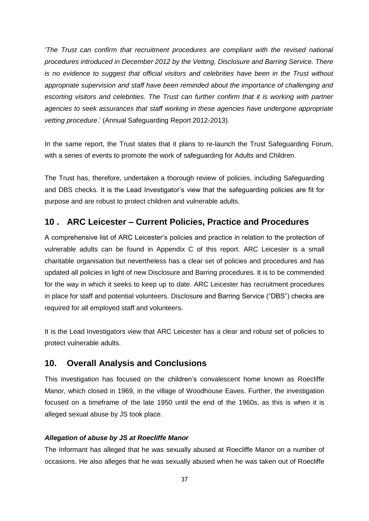'*The Trust can confirm that recruitment procedures are compliant with the revised national procedures introduced in December 2012 by the Vetting, Disclosure and Barring Service. There is no evidence to suggest that official visitors and celebrities have been in the Trust without appropriate supervision and staff have been reminded about the importance of challenging and*  escorting visitors and celebrities. The Trust can further confirm that it is working with partner *agencies to seek assurances that staff working in these agencies have undergone appropriate vetting procedure*.' (Annual Safeguarding Report 2012-2013).

In the same report, the Trust states that it plans to re-launch the Trust Safeguarding Forum, with a series of events to promote the work of safeguarding for Adults and Children.

The Trust has, therefore, undertaken a thorough review of policies, including Safeguarding and DBS checks. It is the Lead Investigator's view that the safeguarding policies are fit for purpose and are robust to protect children and vulnerable adults.

# <span id="page-36-0"></span>**10 . ARC Leicester – Current Policies, Practice and Procedures**

A comprehensive list of ARC Leicester's policies and practice in relation to the protection of vulnerable adults can be found in Appendix C of this report. ARC Leicester is a small charitable organisation but nevertheless has a clear set of policies and procedures and has updated all policies in light of new Disclosure and Barring procedures. It is to be commended for the way in which it seeks to keep up to date. ARC Leicester has recruitment procedures in place for staff and potential volunteers. Disclosure and Barring Service ("DBS") checks are required for all employed staff and volunteers.

It is the Lead Investigators view that ARC Leicester has a clear and robust set of policies to protect vulnerable adults.

# <span id="page-36-1"></span>**10. Overall Analysis and Conclusions**

This investigation has focused on the children's convalescent home known as Roecliffe Manor, which closed in 1969, in the village of Woodhouse Eaves. Further, the investigation focused on a timeframe of the late 1950 until the end of the 1960s, as this is when it is alleged sexual abuse by JS took place.

## *Allegation of abuse by JS at Roecliffe Manor*

The Informant has alleged that he was sexually abused at Roecliffe Manor on a number of occasions. He also alleges that he was sexually abused when he was taken out of Roecliffe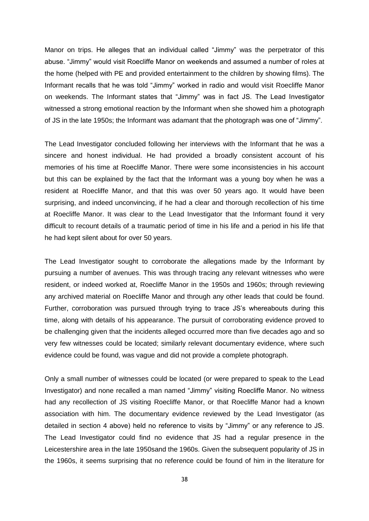Manor on trips. He alleges that an individual called "Jimmy" was the perpetrator of this abuse. "Jimmy" would visit Roecliffe Manor on weekends and assumed a number of roles at the home (helped with PE and provided entertainment to the children by showing films). The Informant recalls that he was told "Jimmy" worked in radio and would visit Roecliffe Manor on weekends. The Informant states that "Jimmy" was in fact JS. The Lead Investigator witnessed a strong emotional reaction by the Informant when she showed him a photograph of JS in the late 1950s; the Informant was adamant that the photograph was one of "Jimmy".

The Lead Investigator concluded following her interviews with the Informant that he was a sincere and honest individual. He had provided a broadly consistent account of his memories of his time at Roecliffe Manor. There were some inconsistencies in his account but this can be explained by the fact that the Informant was a young boy when he was a resident at Roecliffe Manor, and that this was over 50 years ago. It would have been surprising, and indeed unconvincing, if he had a clear and thorough recollection of his time at Roecliffe Manor. It was clear to the Lead Investigator that the Informant found it very difficult to recount details of a traumatic period of time in his life and a period in his life that he had kept silent about for over 50 years.

The Lead Investigator sought to corroborate the allegations made by the Informant by pursuing a number of avenues. This was through tracing any relevant witnesses who were resident, or indeed worked at, Roecliffe Manor in the 1950s and 1960s; through reviewing any archived material on Roecliffe Manor and through any other leads that could be found. Further, corroboration was pursued through trying to trace JS's whereabouts during this time, along with details of his appearance. The pursuit of corroborating evidence proved to be challenging given that the incidents alleged occurred more than five decades ago and so very few witnesses could be located; similarly relevant documentary evidence, where such evidence could be found, was vague and did not provide a complete photograph.

Only a small number of witnesses could be located (or were prepared to speak to the Lead Investigator) and none recalled a man named "Jimmy" visiting Roecliffe Manor. No witness had any recollection of JS visiting Roecliffe Manor, or that Roecliffe Manor had a known association with him. The documentary evidence reviewed by the Lead Investigator (as detailed in section 4 above) held no reference to visits by "Jimmy" or any reference to JS. The Lead Investigator could find no evidence that JS had a regular presence in the Leicestershire area in the late 1950sand the 1960s. Given the subsequent popularity of JS in the 1960s, it seems surprising that no reference could be found of him in the literature for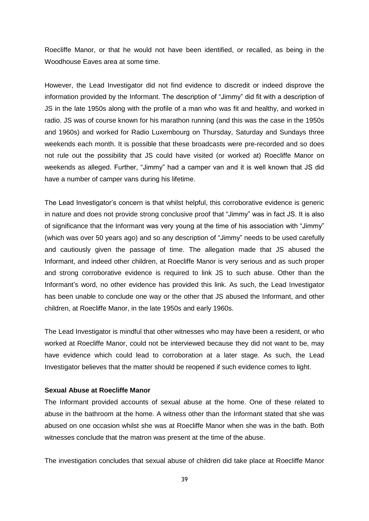Roecliffe Manor, or that he would not have been identified, or recalled, as being in the Woodhouse Eaves area at some time.

However, the Lead Investigator did not find evidence to discredit or indeed disprove the information provided by the Informant. The description of "Jimmy" did fit with a description of JS in the late 1950s along with the profile of a man who was fit and healthy, and worked in radio. JS was of course known for his marathon running (and this was the case in the 1950s and 1960s) and worked for Radio Luxembourg on Thursday, Saturday and Sundays three weekends each month. It is possible that these broadcasts were pre-recorded and so does not rule out the possibility that JS could have visited (or worked at) Roecliffe Manor on weekends as alleged. Further, "Jimmy" had a camper van and it is well known that JS did have a number of camper vans during his lifetime.

The Lead Investigator's concern is that whilst helpful, this corroborative evidence is generic in nature and does not provide strong conclusive proof that "Jimmy" was in fact JS. It is also of significance that the Informant was very young at the time of his association with "Jimmy" (which was over 50 years ago) and so any description of "Jimmy" needs to be used carefully and cautiously given the passage of time. The allegation made that JS abused the Informant, and indeed other children, at Roecliffe Manor is very serious and as such proper and strong corroborative evidence is required to link JS to such abuse. Other than the Informant's word, no other evidence has provided this link. As such, the Lead Investigator has been unable to conclude one way or the other that JS abused the Informant, and other children, at Roecliffe Manor, in the late 1950s and early 1960s.

The Lead Investigator is mindful that other witnesses who may have been a resident, or who worked at Roecliffe Manor, could not be interviewed because they did not want to be, may have evidence which could lead to corroboration at a later stage. As such, the Lead Investigator believes that the matter should be reopened if such evidence comes to light.

## **Sexual Abuse at Roecliffe Manor**

The Informant provided accounts of sexual abuse at the home. One of these related to abuse in the bathroom at the home. A witness other than the Informant stated that she was abused on one occasion whilst she was at Roecliffe Manor when she was in the bath. Both witnesses conclude that the matron was present at the time of the abuse.

The investigation concludes that sexual abuse of children did take place at Roecliffe Manor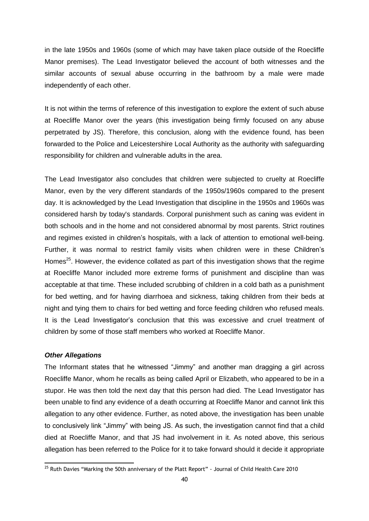in the late 1950s and 1960s (some of which may have taken place outside of the Roecliffe Manor premises). The Lead Investigator believed the account of both witnesses and the similar accounts of sexual abuse occurring in the bathroom by a male were made independently of each other.

It is not within the terms of reference of this investigation to explore the extent of such abuse at Roecliffe Manor over the years (this investigation being firmly focused on any abuse perpetrated by JS). Therefore, this conclusion, along with the evidence found, has been forwarded to the Police and Leicestershire Local Authority as the authority with safeguarding responsibility for children and vulnerable adults in the area.

The Lead Investigator also concludes that children were subjected to cruelty at Roecliffe Manor, even by the very different standards of the 1950s/1960s compared to the present day. It is acknowledged by the Lead Investigation that discipline in the 1950s and 1960s was considered harsh by today's standards. Corporal punishment such as caning was evident in both schools and in the home and not considered abnormal by most parents. Strict routines and regimes existed in children's hospitals, with a lack of attention to emotional well-being. Further, it was normal to restrict family visits when children were in these Children's Homes<sup>25</sup>. However, the evidence collated as part of this investigation shows that the regime at Roecliffe Manor included more extreme forms of punishment and discipline than was acceptable at that time. These included scrubbing of children in a cold bath as a punishment for bed wetting, and for having diarrhoea and sickness, taking children from their beds at night and tying them to chairs for bed wetting and force feeding children who refused meals. It is the Lead Investigator's conclusion that this was excessive and cruel treatment of children by some of those staff members who worked at Roecliffe Manor.

#### *Other Allegations*

 $\overline{a}$ 

The Informant states that he witnessed "Jimmy" and another man dragging a girl across Roecliffe Manor, whom he recalls as being called April or Elizabeth, who appeared to be in a stupor. He was then told the next day that this person had died. The Lead Investigator has been unable to find any evidence of a death occurring at Roecliffe Manor and cannot link this allegation to any other evidence. Further, as noted above, the investigation has been unable to conclusively link "Jimmy" with being JS. As such, the investigation cannot find that a child died at Roecliffe Manor, and that JS had involvement in it. As noted above, this serious allegation has been referred to the Police for it to take forward should it decide it appropriate

<sup>&</sup>lt;sup>25</sup> Ruth Davies "Marking the 50th anniversary of the Platt Report" - Journal of Child Health Care 2010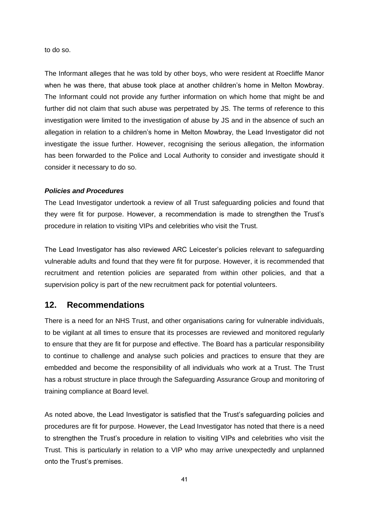to do so.

The Informant alleges that he was told by other boys, who were resident at Roecliffe Manor when he was there, that abuse took place at another children's home in Melton Mowbray. The Informant could not provide any further information on which home that might be and further did not claim that such abuse was perpetrated by JS. The terms of reference to this investigation were limited to the investigation of abuse by JS and in the absence of such an allegation in relation to a children's home in Melton Mowbray, the Lead Investigator did not investigate the issue further. However, recognising the serious allegation, the information has been forwarded to the Police and Local Authority to consider and investigate should it consider it necessary to do so.

### *Policies and Procedures*

The Lead Investigator undertook a review of all Trust safeguarding policies and found that they were fit for purpose. However, a recommendation is made to strengthen the Trust's procedure in relation to visiting VIPs and celebrities who visit the Trust.

The Lead Investigator has also reviewed ARC Leicester's policies relevant to safeguarding vulnerable adults and found that they were fit for purpose. However, it is recommended that recruitment and retention policies are separated from within other policies, and that a supervision policy is part of the new recruitment pack for potential volunteers.

# <span id="page-40-0"></span>**12. Recommendations**

There is a need for an NHS Trust, and other organisations caring for vulnerable individuals, to be vigilant at all times to ensure that its processes are reviewed and monitored regularly to ensure that they are fit for purpose and effective. The Board has a particular responsibility to continue to challenge and analyse such policies and practices to ensure that they are embedded and become the responsibility of all individuals who work at a Trust. The Trust has a robust structure in place through the Safeguarding Assurance Group and monitoring of training compliance at Board level.

As noted above, the Lead Investigator is satisfied that the Trust's safeguarding policies and procedures are fit for purpose. However, the Lead Investigator has noted that there is a need to strengthen the Trust's procedure in relation to visiting VIPs and celebrities who visit the Trust. This is particularly in relation to a VIP who may arrive unexpectedly and unplanned onto the Trust's premises.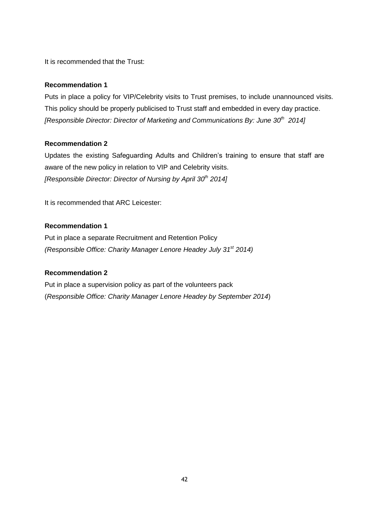It is recommended that the Trust:

## **Recommendation 1**

Puts in place a policy for VIP/Celebrity visits to Trust premises, to include unannounced visits. This policy should be properly publicised to Trust staff and embedded in every day practice. *[Responsible Director: Director of Marketing and Communications By: June 30th 2014]*

## **Recommendation 2**

Updates the existing Safeguarding Adults and Children's training to ensure that staff are aware of the new policy in relation to VIP and Celebrity visits. *[Responsible Director: Director of Nursing by April 30th 2014]*

It is recommended that ARC Leicester:

## **Recommendation 1**

Put in place a separate Recruitment and Retention Policy *(Responsible Office: Charity Manager Lenore Headey July 31st 2014)*

## **Recommendation 2**

Put in place a supervision policy as part of the volunteers pack (*Responsible Office: Charity Manager Lenore Headey by September 2014*)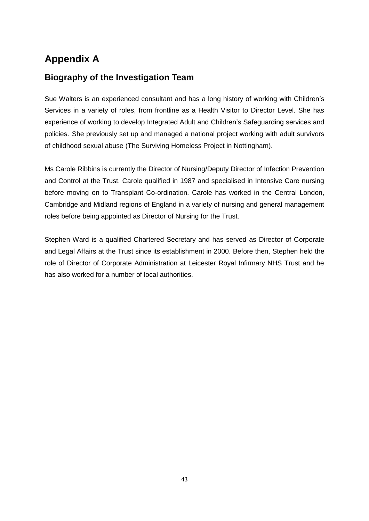# <span id="page-42-0"></span>**Appendix A**

# **Biography of the Investigation Team**

Sue Walters is an experienced consultant and has a long history of working with Children's Services in a variety of roles, from frontline as a Health Visitor to Director Level. She has experience of working to develop Integrated Adult and Children's Safeguarding services and policies. She previously set up and managed a national project working with adult survivors of childhood sexual abuse (The Surviving Homeless Project in Nottingham).

Ms Carole Ribbins is currently the Director of Nursing/Deputy Director of Infection Prevention and Control at the Trust. Carole qualified in 1987 and specialised in Intensive Care nursing before moving on to Transplant Co-ordination. Carole has worked in the Central London, Cambridge and Midland regions of England in a variety of nursing and general management roles before being appointed as Director of Nursing for the Trust.

Stephen Ward is a qualified Chartered Secretary and has served as Director of Corporate and Legal Affairs at the Trust since its establishment in 2000. Before then, Stephen held the role of Director of Corporate Administration at Leicester Royal Infirmary NHS Trust and he has also worked for a number of local authorities.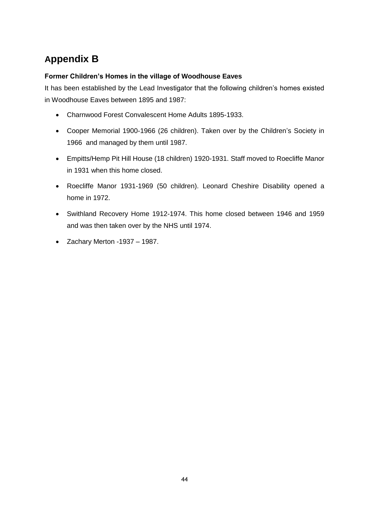# <span id="page-43-0"></span>**Appendix B**

# **Former Children's Homes in the village of Woodhouse Eaves**

It has been established by the Lead Investigator that the following children's homes existed in Woodhouse Eaves between 1895 and 1987:

- Charnwood Forest Convalescent Home Adults 1895-1933.
- Cooper Memorial 1900-1966 (26 children). Taken over by the Children's Society in 1966 and managed by them until 1987.
- Empitts/Hemp Pit Hill House (18 children) 1920-1931. Staff moved to Roecliffe Manor in 1931 when this home closed.
- Roecliffe Manor 1931-1969 (50 children). Leonard Cheshire Disability opened a home in 1972.
- Swithland Recovery Home 1912-1974. This home closed between 1946 and 1959 and was then taken over by the NHS until 1974.
- $\bullet$  Zachary Merton -1937 1987.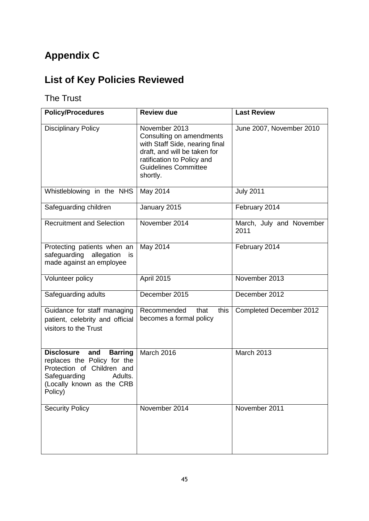# <span id="page-44-0"></span>**Appendix C**

# **List of Key Policies Reviewed**

# The Trust

| <b>Policy/Procedures</b>                                                                                                                                                   | <b>Review due</b>                                                                                                                                                                    | <b>Last Review</b>               |
|----------------------------------------------------------------------------------------------------------------------------------------------------------------------------|--------------------------------------------------------------------------------------------------------------------------------------------------------------------------------------|----------------------------------|
| <b>Disciplinary Policy</b>                                                                                                                                                 | November 2013<br>Consulting on amendments<br>with Staff Side, nearing final<br>draft, and will be taken for<br>ratification to Policy and<br><b>Guidelines Committee</b><br>shortly. | June 2007, November 2010         |
| Whistleblowing in the NHS                                                                                                                                                  | May 2014                                                                                                                                                                             | <b>July 2011</b>                 |
| Safeguarding children                                                                                                                                                      | January 2015                                                                                                                                                                         | February 2014                    |
| <b>Recruitment and Selection</b>                                                                                                                                           | November 2014                                                                                                                                                                        | March, July and November<br>2011 |
| Protecting patients when an<br>safeguarding<br>allegation<br>is<br>made against an employee                                                                                | May 2014                                                                                                                                                                             | February 2014                    |
| Volunteer policy                                                                                                                                                           | <b>April 2015</b>                                                                                                                                                                    | November 2013                    |
| Safeguarding adults                                                                                                                                                        | December 2015                                                                                                                                                                        | December 2012                    |
| Guidance for staff managing<br>patient, celebrity and official<br>visitors to the Trust                                                                                    | that<br>this<br>Recommended<br>becomes a formal policy                                                                                                                               | Completed December 2012          |
| <b>Disclosure</b><br>and<br><b>Barring</b><br>replaces the Policy for the<br>Protection of Children and<br>Safeguarding<br>Adults.<br>(Locally known as the CRB<br>Policy) | March 2016                                                                                                                                                                           | March 2013                       |
| <b>Security Policy</b>                                                                                                                                                     | November 2014                                                                                                                                                                        | November 2011                    |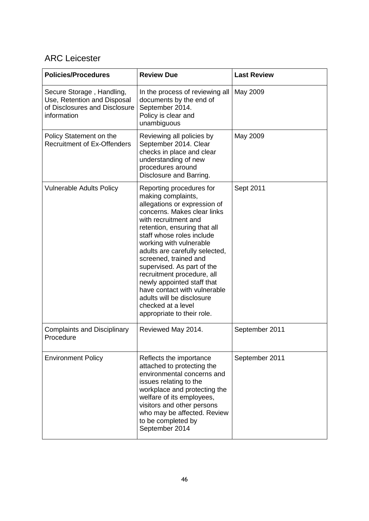# ARC Leicester

| <b>Policies/Procedures</b>                                                                               | <b>Review Due</b>                                                                                                                                                                                                                                                                                                                                                                                                                                                                                   | <b>Last Review</b> |
|----------------------------------------------------------------------------------------------------------|-----------------------------------------------------------------------------------------------------------------------------------------------------------------------------------------------------------------------------------------------------------------------------------------------------------------------------------------------------------------------------------------------------------------------------------------------------------------------------------------------------|--------------------|
| Secure Storage, Handling,<br>Use, Retention and Disposal<br>of Disclosures and Disclosure<br>information | In the process of reviewing all<br>documents by the end of<br>September 2014.<br>Policy is clear and<br>unambiguous                                                                                                                                                                                                                                                                                                                                                                                 | May 2009           |
| Policy Statement on the<br><b>Recruitment of Ex-Offenders</b>                                            | Reviewing all policies by<br>September 2014. Clear<br>checks in place and clear<br>understanding of new<br>procedures around<br>Disclosure and Barring.                                                                                                                                                                                                                                                                                                                                             | May 2009           |
| <b>Vulnerable Adults Policy</b>                                                                          | Reporting procedures for<br>making complaints,<br>allegations or expression of<br>concerns. Makes clear links<br>with recruitment and<br>retention, ensuring that all<br>staff whose roles include<br>working with vulnerable<br>adults are carefully selected,<br>screened, trained and<br>supervised. As part of the<br>recruitment procedure, all<br>newly appointed staff that<br>have contact with vulnerable<br>adults will be disclosure<br>checked at a level<br>appropriate to their role. | Sept 2011          |
| <b>Complaints and Disciplinary</b><br>Procedure                                                          | Reviewed May 2014.                                                                                                                                                                                                                                                                                                                                                                                                                                                                                  | September 2011     |
| <b>Environment Policy</b>                                                                                | Reflects the importance<br>attached to protecting the<br>environmental concerns and<br>issues relating to the<br>workplace and protecting the<br>welfare of its employees,<br>visitors and other persons<br>who may be affected. Review<br>to be completed by<br>September 2014                                                                                                                                                                                                                     | September 2011     |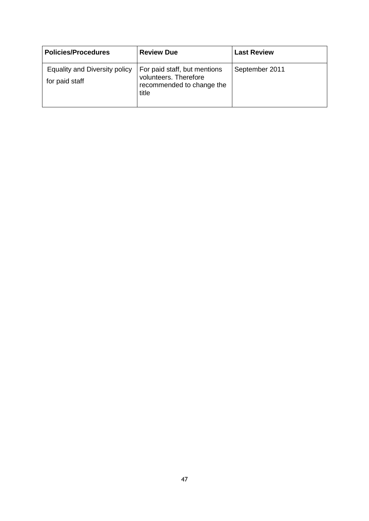| <b>Policies/Procedures</b>                      | <b>Review Due</b>                                                                           | <b>Last Review</b> |
|-------------------------------------------------|---------------------------------------------------------------------------------------------|--------------------|
| Equality and Diversity policy<br>for paid staff | For paid staff, but mentions<br>volunteers. Therefore<br>recommended to change the<br>title | September 2011     |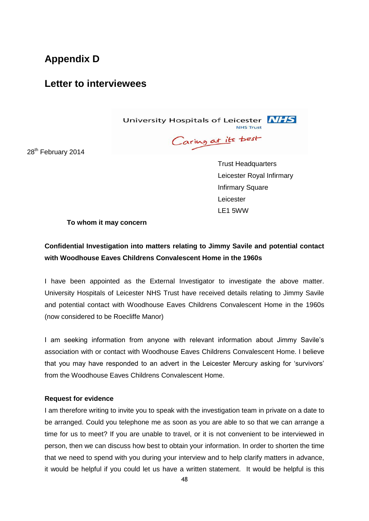# <span id="page-47-0"></span>**Appendix D**

# **Letter to interviewees**

University Hospitals of Leicester **NHS NHS Trust** 

Caring at its best

28<sup>th</sup> February 2014

 Trust Headquarters Leicester Royal Infirmary Infirmary Square Leicester LE1 5WW

**To whom it may concern**

# **Confidential Investigation into matters relating to Jimmy Savile and potential contact with Woodhouse Eaves Childrens Convalescent Home in the 1960s**

I have been appointed as the External Investigator to investigate the above matter. University Hospitals of Leicester NHS Trust have received details relating to Jimmy Savile and potential contact with Woodhouse Eaves Childrens Convalescent Home in the 1960s (now considered to be Roecliffe Manor)

I am seeking information from anyone with relevant information about Jimmy Savile's association with or contact with Woodhouse Eaves Childrens Convalescent Home. I believe that you may have responded to an advert in the Leicester Mercury asking for 'survivors' from the Woodhouse Eaves Childrens Convalescent Home.

## **Request for evidence**

I am therefore writing to invite you to speak with the investigation team in private on a date to be arranged. Could you telephone me as soon as you are able to so that we can arrange a time for us to meet? If you are unable to travel, or it is not convenient to be interviewed in person, then we can discuss how best to obtain your information. In order to shorten the time that we need to spend with you during your interview and to help clarify matters in advance, it would be helpful if you could let us have a written statement. It would be helpful is this